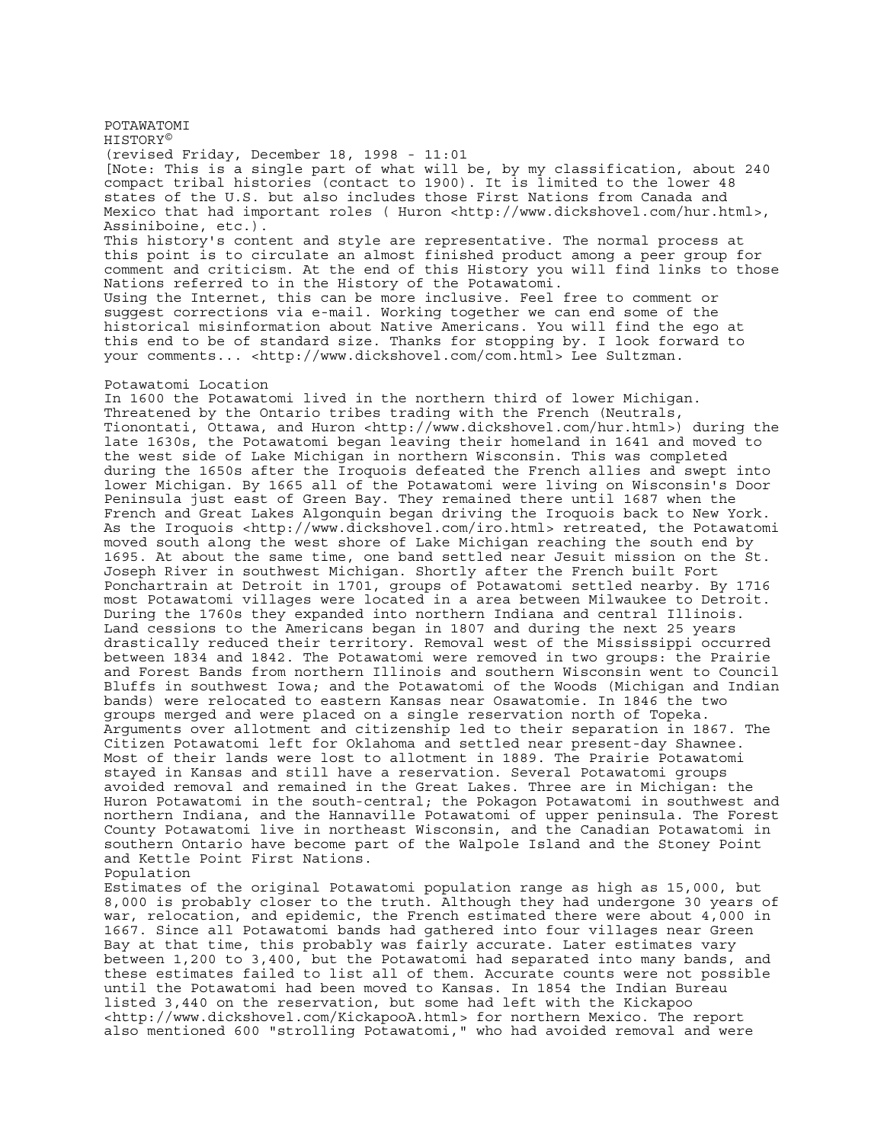POTAWATOMI HISTORY© (revised Friday, December 18, 1998 - 11:01 [Note: This is a single part of what will be, by my classification, about 240 compact tribal histories (contact to 1900). It is limited to the lower 48 states of the U.S. but also includes those First Nations from Canada and Mexico that had important roles ( Huron <http://www.dickshovel.com/hur.html>, Assiniboine, etc.). This history's content and style are representative. The normal process at this point is to circulate an almost finished product among a peer group for comment and criticism. At the end of this History you will find links to those Nations referred to in the History of the Potawatomi. Using the Internet, this can be more inclusive. Feel free to comment or suggest corrections via e-mail. Working together we can end some of the historical misinformation about Native Americans. You will find the ego at this end to be of standard size. Thanks for stopping by. I look forward to your comments... <http://www.dickshovel.com/com.html> Lee Sultzman.

## Potawatomi Location

In 1600 the Potawatomi lived in the northern third of lower Michigan. Threatened by the Ontario tribes trading with the French (Neutrals, Tionontati, Ottawa, and Huron <http://www.dickshovel.com/hur.html>) during the late 1630s, the Potawatomi began leaving their homeland in 1641 and moved to the west side of Lake Michigan in northern Wisconsin. This was completed during the 1650s after the Iroquois defeated the French allies and swept into lower Michigan. By 1665 all of the Potawatomi were living on Wisconsin's Door Peninsula just east of Green Bay. They remained there until 1687 when the French and Great Lakes Algonquin began driving the Iroquois back to New York. As the Iroquois <http://www.dickshovel.com/iro.html> retreated, the Potawatomi moved south along the west shore of Lake Michigan reaching the south end by 1695. At about the same time, one band settled near Jesuit mission on the St. Joseph River in southwest Michigan. Shortly after the French built Fort Ponchartrain at Detroit in 1701, groups of Potawatomi settled nearby. By 1716 most Potawatomi villages were located in a area between Milwaukee to Detroit. During the 1760s they expanded into northern Indiana and central Illinois. Land cessions to the Americans began in 1807 and during the next 25 years drastically reduced their territory. Removal west of the Mississippi occurred between 1834 and 1842. The Potawatomi were removed in two groups: the Prairie and Forest Bands from northern Illinois and southern Wisconsin went to Council Bluffs in southwest Iowa; and the Potawatomi of the Woods (Michigan and Indian bands) were relocated to eastern Kansas near Osawatomie. In 1846 the two groups merged and were placed on a single reservation north of Topeka. Arguments over allotment and citizenship led to their separation in 1867. The Citizen Potawatomi left for Oklahoma and settled near present-day Shawnee. Most of their lands were lost to allotment in 1889. The Prairie Potawatomi stayed in Kansas and still have a reservation. Several Potawatomi groups avoided removal and remained in the Great Lakes. Three are in Michigan: the Huron Potawatomi in the south-central; the Pokagon Potawatomi in southwest and northern Indiana, and the Hannaville Potawatomi of upper peninsula. The Forest County Potawatomi live in northeast Wisconsin, and the Canadian Potawatomi in southern Ontario have become part of the Walpole Island and the Stoney Point and Kettle Point First Nations.

## Population

Estimates of the original Potawatomi population range as high as 15,000, but 8,000 is probably closer to the truth. Although they had undergone 30 years of war, relocation, and epidemic, the French estimated there were about 4,000 in 1667. Since all Potawatomi bands had gathered into four villages near Green Bay at that time, this probably was fairly accurate. Later estimates vary between 1,200 to 3,400, but the Potawatomi had separated into many bands, and these estimates failed to list all of them. Accurate counts were not possible until the Potawatomi had been moved to Kansas. In 1854 the Indian Bureau listed 3,440 on the reservation, but some had left with the Kickapoo <http://www.dickshovel.com/KickapooA.html> for northern Mexico. The report also mentioned 600 "strolling Potawatomi," who had avoided removal and were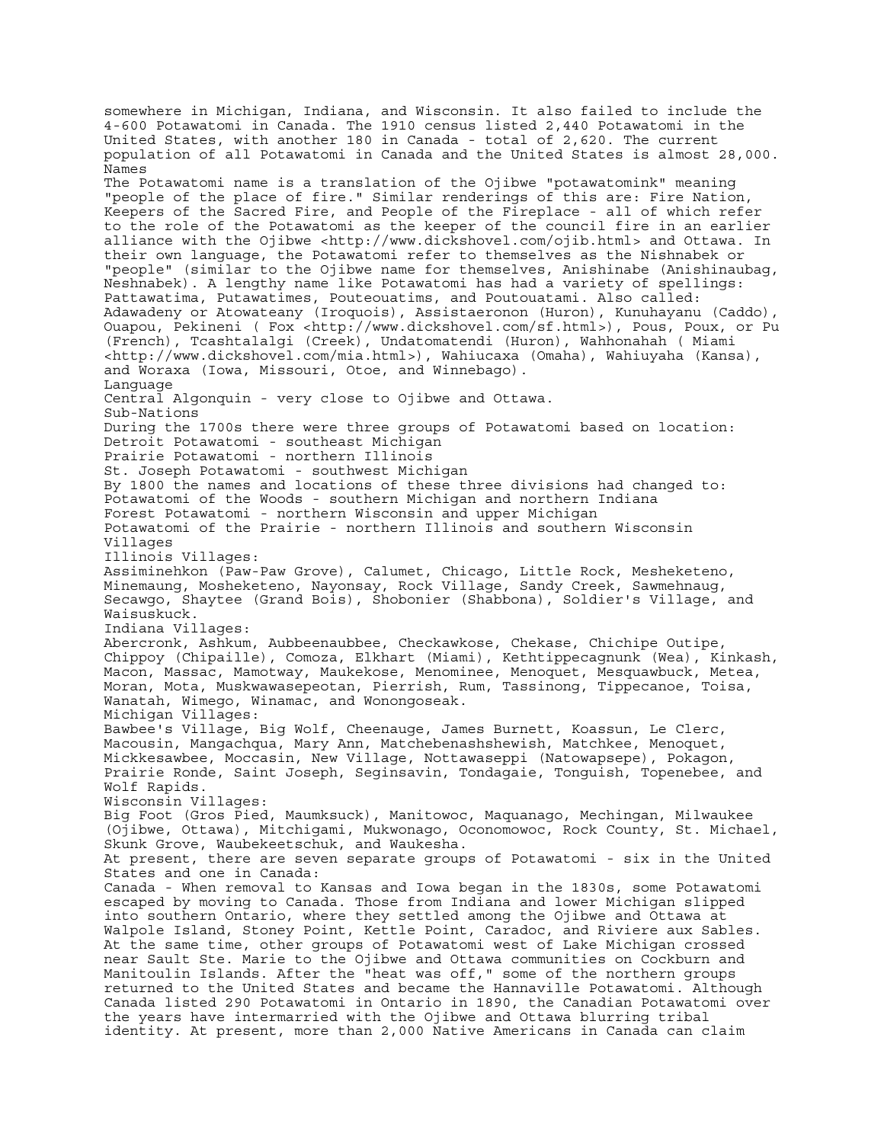somewhere in Michigan, Indiana, and Wisconsin. It also failed to include the 4-600 Potawatomi in Canada. The 1910 census listed 2,440 Potawatomi in the United States, with another 180 in Canada - total of 2,620. The current population of all Potawatomi in Canada and the United States is almost 28,000. Names The Potawatomi name is a translation of the Ojibwe "potawatomink" meaning "people of the place of fire." Similar renderings of this are: Fire Nation, Keepers of the Sacred Fire, and People of the Fireplace - all of which refer to the role of the Potawatomi as the keeper of the council fire in an earlier alliance with the Ojibwe <http://www.dickshovel.com/ojib.html> and Ottawa. In their own language, the Potawatomi refer to themselves as the Nishnabek or "people" (similar to the Ojibwe name for themselves, Anishinabe (Anishinaubag, Neshnabek). A lengthy name like Potawatomi has had a variety of spellings: Pattawatima, Putawatimes, Pouteouatims, and Poutouatami. Also called: Adawadeny or Atowateany (Iroquois), Assistaeronon (Huron), Kunuhayanu (Caddo), Ouapou, Pekineni ( Fox <http://www.dickshovel.com/sf.html>), Pous, Poux, or Pu (French), Tcashtalalgi (Creek), Undatomatendi (Huron), Wahhonahah ( Miami <http://www.dickshovel.com/mia.html>), Wahiucaxa (Omaha), Wahiuyaha (Kansa), and Woraxa (Iowa, Missouri, Otoe, and Winnebago). Language Central Algonquin - very close to Ojibwe and Ottawa. Sub-Nations During the 1700s there were three groups of Potawatomi based on location: Detroit Potawatomi - southeast Michigan Prairie Potawatomi - northern Illinois St. Joseph Potawatomi - southwest Michigan By 1800 the names and locations of these three divisions had changed to: Potawatomi of the Woods - southern Michigan and northern Indiana Forest Potawatomi - northern Wisconsin and upper Michigan Potawatomi of the Prairie - northern Illinois and southern Wisconsin Villages Illinois Villages: Assiminehkon (Paw-Paw Grove), Calumet, Chicago, Little Rock, Mesheketeno, Minemaung, Mosheketeno, Nayonsay, Rock Village, Sandy Creek, Sawmehnaug, Secawgo, Shaytee (Grand Bois), Shobonier (Shabbona), Soldier's Village, and Waisuskuck. Indiana Villages: Abercronk, Ashkum, Aubbeenaubbee, Checkawkose, Chekase, Chichipe Outipe, Chippoy (Chipaille), Comoza, Elkhart (Miami), Kethtippecagnunk (Wea), Kinkash, Macon, Massac, Mamotway, Maukekose, Menominee, Menoquet, Mesquawbuck, Metea, Moran, Mota, Muskwawasepeotan, Pierrish, Rum, Tassinong, Tippecanoe, Toisa, Wanatah, Wimego, Winamac, and Wonongoseak. Michigan Villages: Bawbee's Village, Big Wolf, Cheenauge, James Burnett, Koassun, Le Clerc, Macousin, Mangachqua, Mary Ann, Matchebenashshewish, Matchkee, Menoquet, Mickkesawbee, Moccasin, New Village, Nottawaseppi (Natowapsepe), Pokagon, Prairie Ronde, Saint Joseph, Seginsavin, Tondagaie, Tonguish, Topenebee, and Wolf Rapids. Wisconsin Villages: Big Foot (Gros Pied, Maumksuck), Manitowoc, Maquanago, Mechingan, Milwaukee (Ojibwe, Ottawa), Mitchigami, Mukwonago, Oconomowoc, Rock County, St. Michael, Skunk Grove, Waubekeetschuk, and Waukesha. At present, there are seven separate groups of Potawatomi - six in the United States and one in Canada: Canada - When removal to Kansas and Iowa began in the 1830s, some Potawatomi escaped by moving to Canada. Those from Indiana and lower Michigan slipped into southern Ontario, where they settled among the Ojibwe and Ottawa at Walpole Island, Stoney Point, Kettle Point, Caradoc, and Riviere aux Sables. At the same time, other groups of Potawatomi west of Lake Michigan crossed near Sault Ste. Marie to the Ojibwe and Ottawa communities on Cockburn and Manitoulin Islands. After the "heat was off," some of the northern groups returned to the United States and became the Hannaville Potawatomi. Although Canada listed 290 Potawatomi in Ontario in 1890, the Canadian Potawatomi over the years have intermarried with the Ojibwe and Ottawa blurring tribal identity. At present, more than 2,000 Native Americans in Canada can claim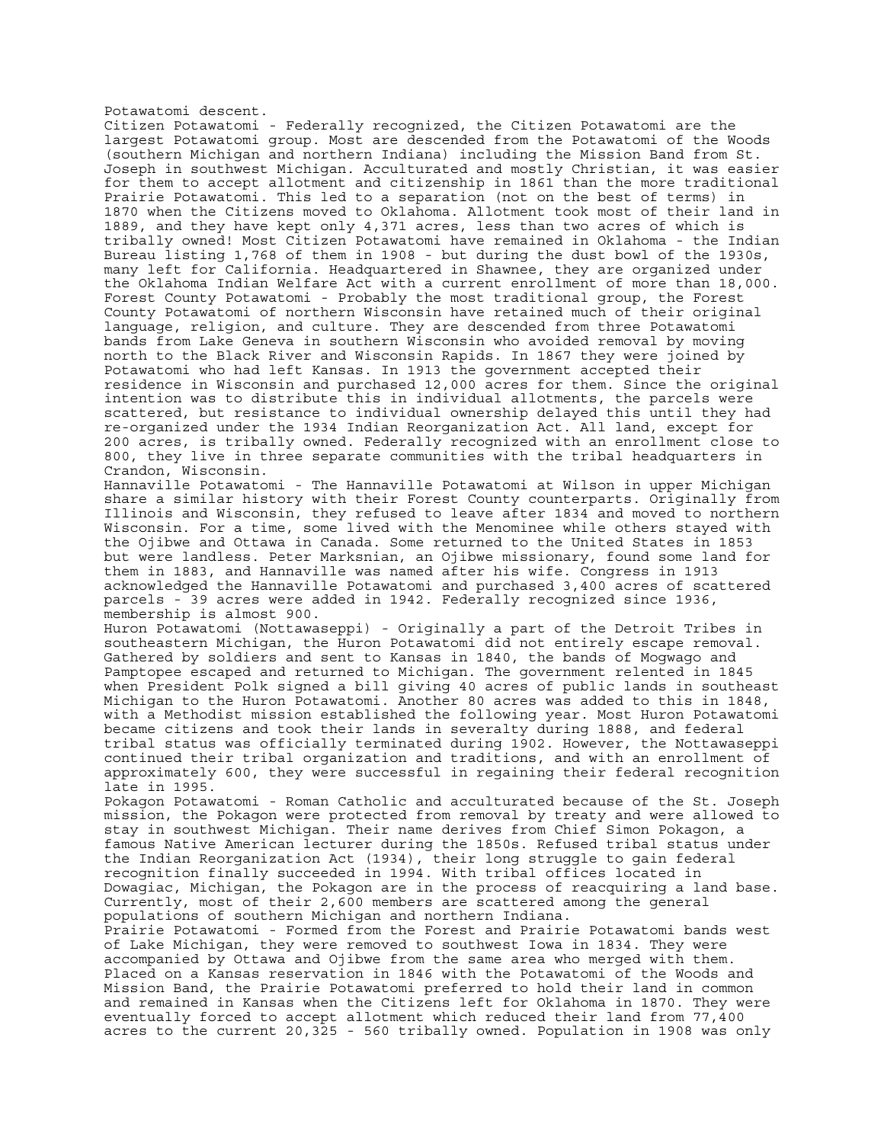Potawatomi descent.

Citizen Potawatomi - Federally recognized, the Citizen Potawatomi are the largest Potawatomi group. Most are descended from the Potawatomi of the Woods (southern Michigan and northern Indiana) including the Mission Band from St. Joseph in southwest Michigan. Acculturated and mostly Christian, it was easier for them to accept allotment and citizenship in 1861 than the more traditional Prairie Potawatomi. This led to a separation (not on the best of terms) in 1870 when the Citizens moved to Oklahoma. Allotment took most of their land in 1889, and they have kept only 4,371 acres, less than two acres of which is tribally owned! Most Citizen Potawatomi have remained in Oklahoma - the Indian Bureau listing 1,768 of them in 1908 - but during the dust bowl of the 1930s, many left for California. Headquartered in Shawnee, they are organized under the Oklahoma Indian Welfare Act with a current enrollment of more than 18,000. Forest County Potawatomi - Probably the most traditional group, the Forest County Potawatomi of northern Wisconsin have retained much of their original language, religion, and culture. They are descended from three Potawatomi bands from Lake Geneva in southern Wisconsin who avoided removal by moving north to the Black River and Wisconsin Rapids. In 1867 they were joined by Potawatomi who had left Kansas. In 1913 the government accepted their residence in Wisconsin and purchased 12,000 acres for them. Since the original intention was to distribute this in individual allotments, the parcels were scattered, but resistance to individual ownership delayed this until they had re-organized under the 1934 Indian Reorganization Act. All land, except for 200 acres, is tribally owned. Federally recognized with an enrollment close to 800, they live in three separate communities with the tribal headquarters in Crandon, Wisconsin.

Hannaville Potawatomi - The Hannaville Potawatomi at Wilson in upper Michigan share a similar history with their Forest County counterparts. Originally from Illinois and Wisconsin, they refused to leave after 1834 and moved to northern Wisconsin. For a time, some lived with the Menominee while others stayed with the Ojibwe and Ottawa in Canada. Some returned to the United States in 1853 but were landless. Peter Marksnian, an Ojibwe missionary, found some land for them in 1883, and Hannaville was named after his wife. Congress in 1913 acknowledged the Hannaville Potawatomi and purchased 3,400 acres of scattered parcels - 39 acres were added in 1942. Federally recognized since 1936, membership is almost 900.

Huron Potawatomi (Nottawaseppi) - Originally a part of the Detroit Tribes in southeastern Michigan, the Huron Potawatomi did not entirely escape removal. Gathered by soldiers and sent to Kansas in 1840, the bands of Mogwago and Pamptopee escaped and returned to Michigan. The government relented in 1845 when President Polk signed a bill giving 40 acres of public lands in southeast Michigan to the Huron Potawatomi. Another 80 acres was added to this in 1848, with a Methodist mission established the following year. Most Huron Potawatomi became citizens and took their lands in severalty during 1888, and federal tribal status was officially terminated during 1902. However, the Nottawaseppi continued their tribal organization and traditions, and with an enrollment of approximately 600, they were successful in regaining their federal recognition late in 1995.

Pokagon Potawatomi - Roman Catholic and acculturated because of the St. Joseph mission, the Pokagon were protected from removal by treaty and were allowed to stay in southwest Michigan. Their name derives from Chief Simon Pokagon, a famous Native American lecturer during the 1850s. Refused tribal status under the Indian Reorganization Act (1934), their long struggle to gain federal recognition finally succeeded in 1994. With tribal offices located in Dowagiac, Michigan, the Pokagon are in the process of reacquiring a land base. Currently, most of their 2,600 members are scattered among the general populations of southern Michigan and northern Indiana.

Prairie Potawatomi - Formed from the Forest and Prairie Potawatomi bands west of Lake Michigan, they were removed to southwest Iowa in 1834. They were accompanied by Ottawa and Ojibwe from the same area who merged with them. Placed on a Kansas reservation in 1846 with the Potawatomi of the Woods and Mission Band, the Prairie Potawatomi preferred to hold their land in common and remained in Kansas when the Citizens left for Oklahoma in 1870. They were eventually forced to accept allotment which reduced their land from 77,400 acres to the current 20,325 - 560 tribally owned. Population in 1908 was only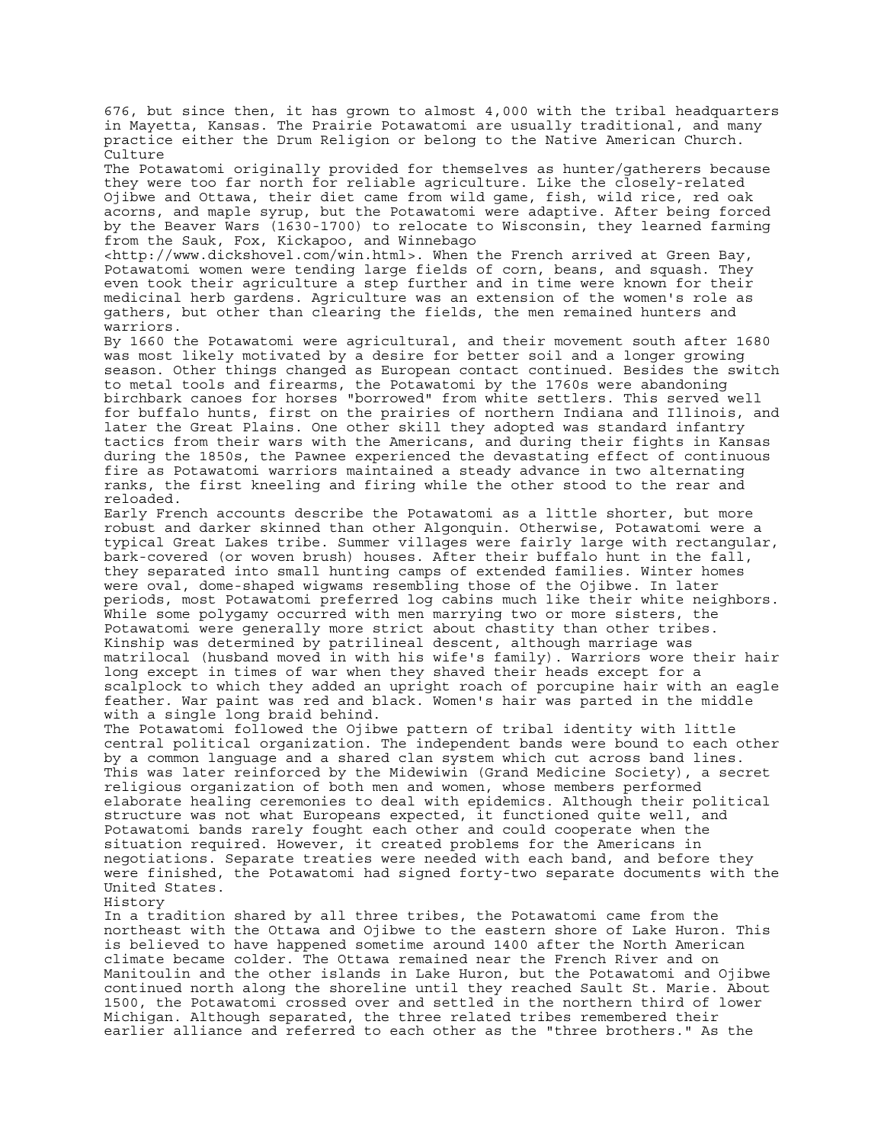676, but since then, it has grown to almost 4,000 with the tribal headquarters in Mayetta, Kansas. The Prairie Potawatomi are usually traditional, and many practice either the Drum Religion or belong to the Native American Church. Culture

The Potawatomi originally provided for themselves as hunter/gatherers because they were too far north for reliable agriculture. Like the closely-related Ojibwe and Ottawa, their diet came from wild game, fish, wild rice, red oak acorns, and maple syrup, but the Potawatomi were adaptive. After being forced by the Beaver Wars (1630-1700) to relocate to Wisconsin, they learned farming from the Sauk, Fox, Kickapoo, and Winnebago

<http://www.dickshovel.com/win.html>. When the French arrived at Green Bay, Potawatomi women were tending large fields of corn, beans, and squash. They even took their agriculture a step further and in time were known for their medicinal herb gardens. Agriculture was an extension of the women's role as gathers, but other than clearing the fields, the men remained hunters and warriors.

By 1660 the Potawatomi were agricultural, and their movement south after 1680 was most likely motivated by a desire for better soil and a longer growing season. Other things changed as European contact continued. Besides the switch to metal tools and firearms, the Potawatomi by the 1760s were abandoning birchbark canoes for horses "borrowed" from white settlers. This served well for buffalo hunts, first on the prairies of northern Indiana and Illinois, and later the Great Plains. One other skill they adopted was standard infantry tactics from their wars with the Americans, and during their fights in Kansas during the 1850s, the Pawnee experienced the devastating effect of continuous fire as Potawatomi warriors maintained a steady advance in two alternating ranks, the first kneeling and firing while the other stood to the rear and reloaded.

Early French accounts describe the Potawatomi as a little shorter, but more robust and darker skinned than other Algonquin. Otherwise, Potawatomi were a typical Great Lakes tribe. Summer villages were fairly large with rectangular, bark-covered (or woven brush) houses. After their buffalo hunt in the fall, they separated into small hunting camps of extended families. Winter homes were oval, dome-shaped wigwams resembling those of the Ojibwe. In later periods, most Potawatomi preferred log cabins much like their white neighbors. While some polygamy occurred with men marrying two or more sisters, the Potawatomi were generally more strict about chastity than other tribes. Kinship was determined by patrilineal descent, although marriage was matrilocal (husband moved in with his wife's family). Warriors wore their hair long except in times of war when they shaved their heads except for a scalplock to which they added an upright roach of porcupine hair with an eagle feather. War paint was red and black. Women's hair was parted in the middle with a single long braid behind.

The Potawatomi followed the Ojibwe pattern of tribal identity with little central political organization. The independent bands were bound to each other by a common language and a shared clan system which cut across band lines. This was later reinforced by the Midewiwin (Grand Medicine Society), a secret religious organization of both men and women, whose members performed elaborate healing ceremonies to deal with epidemics. Although their political structure was not what Europeans expected, it functioned quite well, and Potawatomi bands rarely fought each other and could cooperate when the situation required. However, it created problems for the Americans in negotiations. Separate treaties were needed with each band, and before they were finished, the Potawatomi had signed forty-two separate documents with the United States.

History

In a tradition shared by all three tribes, the Potawatomi came from the northeast with the Ottawa and Ojibwe to the eastern shore of Lake Huron. This is believed to have happened sometime around 1400 after the North American climate became colder. The Ottawa remained near the French River and on Manitoulin and the other islands in Lake Huron, but the Potawatomi and Ojibwe continued north along the shoreline until they reached Sault St. Marie. About 1500, the Potawatomi crossed over and settled in the northern third of lower Michigan. Although separated, the three related tribes remembered their earlier alliance and referred to each other as the "three brothers." As the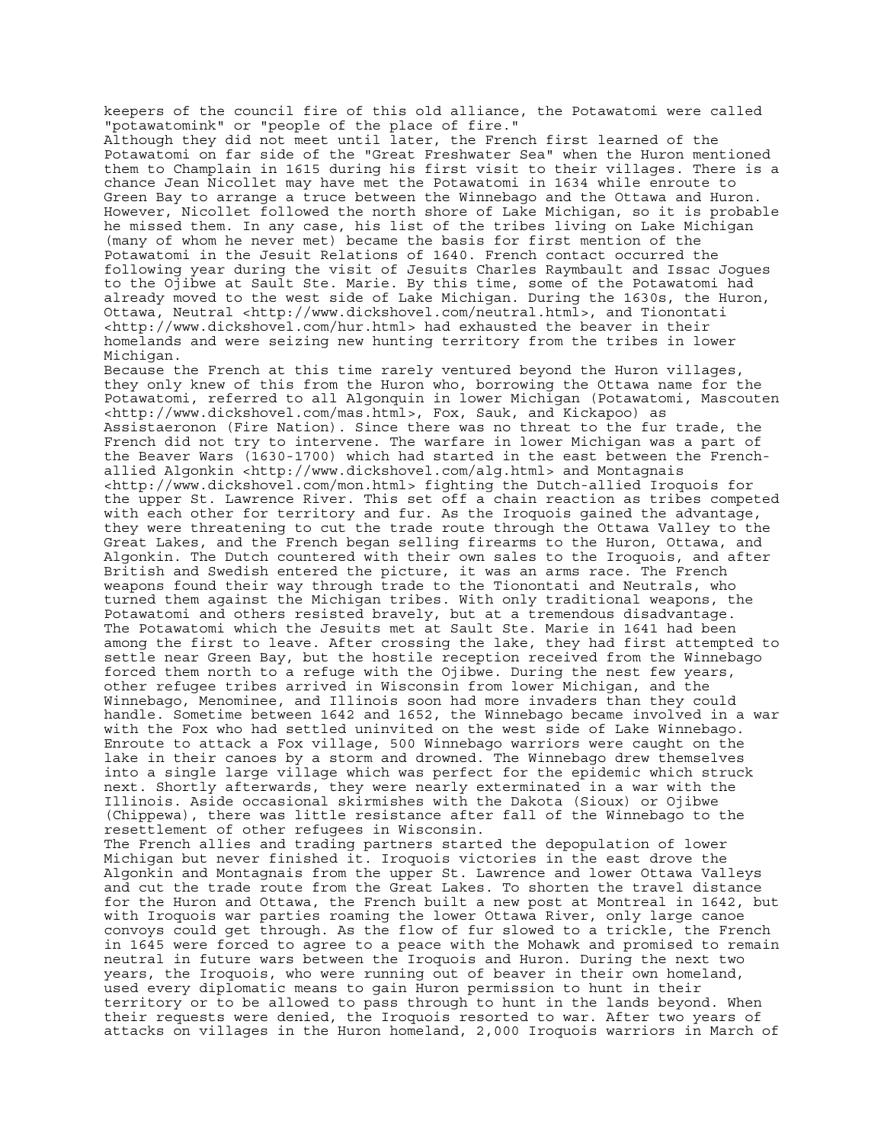keepers of the council fire of this old alliance, the Potawatomi were called "potawatomink" or "people of the place of fire."

Although they did not meet until later, the French first learned of the Potawatomi on far side of the "Great Freshwater Sea" when the Huron mentioned them to Champlain in 1615 during his first visit to their villages. There is a chance Jean Nicollet may have met the Potawatomi in 1634 while enroute to Green Bay to arrange a truce between the Winnebago and the Ottawa and Huron. However, Nicollet followed the north shore of Lake Michigan, so it is probable he missed them. In any case, his list of the tribes living on Lake Michigan (many of whom he never met) became the basis for first mention of the Potawatomi in the Jesuit Relations of 1640. French contact occurred the following year during the visit of Jesuits Charles Raymbault and Issac Jogues to the Ojibwe at Sault Ste. Marie. By this time, some of the Potawatomi had already moved to the west side of Lake Michigan. During the 1630s, the Huron, Ottawa, Neutral <http://www.dickshovel.com/neutral.html>, and Tionontati <http://www.dickshovel.com/hur.html> had exhausted the beaver in their homelands and were seizing new hunting territory from the tribes in lower Michigan.

Because the French at this time rarely ventured beyond the Huron villages, they only knew of this from the Huron who, borrowing the Ottawa name for the Potawatomi, referred to all Algonquin in lower Michigan (Potawatomi, Mascouten <http://www.dickshovel.com/mas.html>, Fox, Sauk, and Kickapoo) as Assistaeronon (Fire Nation). Since there was no threat to the fur trade, the French did not try to intervene. The warfare in lower Michigan was a part of the Beaver Wars (1630-1700) which had started in the east between the Frenchallied Algonkin <http://www.dickshovel.com/alg.html> and Montagnais <http://www.dickshovel.com/mon.html> fighting the Dutch-allied Iroquois for the upper St. Lawrence River. This set off a chain reaction as tribes competed with each other for territory and fur. As the Iroquois gained the advantage, they were threatening to cut the trade route through the Ottawa Valley to the Great Lakes, and the French began selling firearms to the Huron, Ottawa, and Algonkin. The Dutch countered with their own sales to the Iroquois, and after British and Swedish entered the picture, it was an arms race. The French weapons found their way through trade to the Tionontati and Neutrals, who turned them against the Michigan tribes. With only traditional weapons, the Potawatomi and others resisted bravely, but at a tremendous disadvantage. The Potawatomi which the Jesuits met at Sault Ste. Marie in 1641 had been among the first to leave. After crossing the lake, they had first attempted to settle near Green Bay, but the hostile reception received from the Winnebago forced them north to a refuge with the Ojibwe. During the nest few years, other refugee tribes arrived in Wisconsin from lower Michigan, and the Winnebago, Menominee, and Illinois soon had more invaders than they could handle. Sometime between 1642 and 1652, the Winnebago became involved in a war with the Fox who had settled uninvited on the west side of Lake Winnebago. Enroute to attack a Fox village, 500 Winnebago warriors were caught on the lake in their canoes by a storm and drowned. The Winnebago drew themselves into a single large village which was perfect for the epidemic which struck next. Shortly afterwards, they were nearly exterminated in a war with the Illinois. Aside occasional skirmishes with the Dakota (Sioux) or Ojibwe (Chippewa), there was little resistance after fall of the Winnebago to the resettlement of other refugees in Wisconsin. The French allies and trading partners started the depopulation of lower Michigan but never finished it. Iroquois victories in the east drove the Algonkin and Montagnais from the upper St. Lawrence and lower Ottawa Valleys

and cut the trade route from the Great Lakes. To shorten the travel distance for the Huron and Ottawa, the French built a new post at Montreal in 1642, but with Iroquois war parties roaming the lower Ottawa River, only large canoe convoys could get through. As the flow of fur slowed to a trickle, the French in 1645 were forced to agree to a peace with the Mohawk and promised to remain neutral in future wars between the Iroquois and Huron. During the next two years, the Iroquois, who were running out of beaver in their own homeland, used every diplomatic means to gain Huron permission to hunt in their territory or to be allowed to pass through to hunt in the lands beyond. When their requests were denied, the Iroquois resorted to war. After two years of attacks on villages in the Huron homeland, 2,000 Iroquois warriors in March of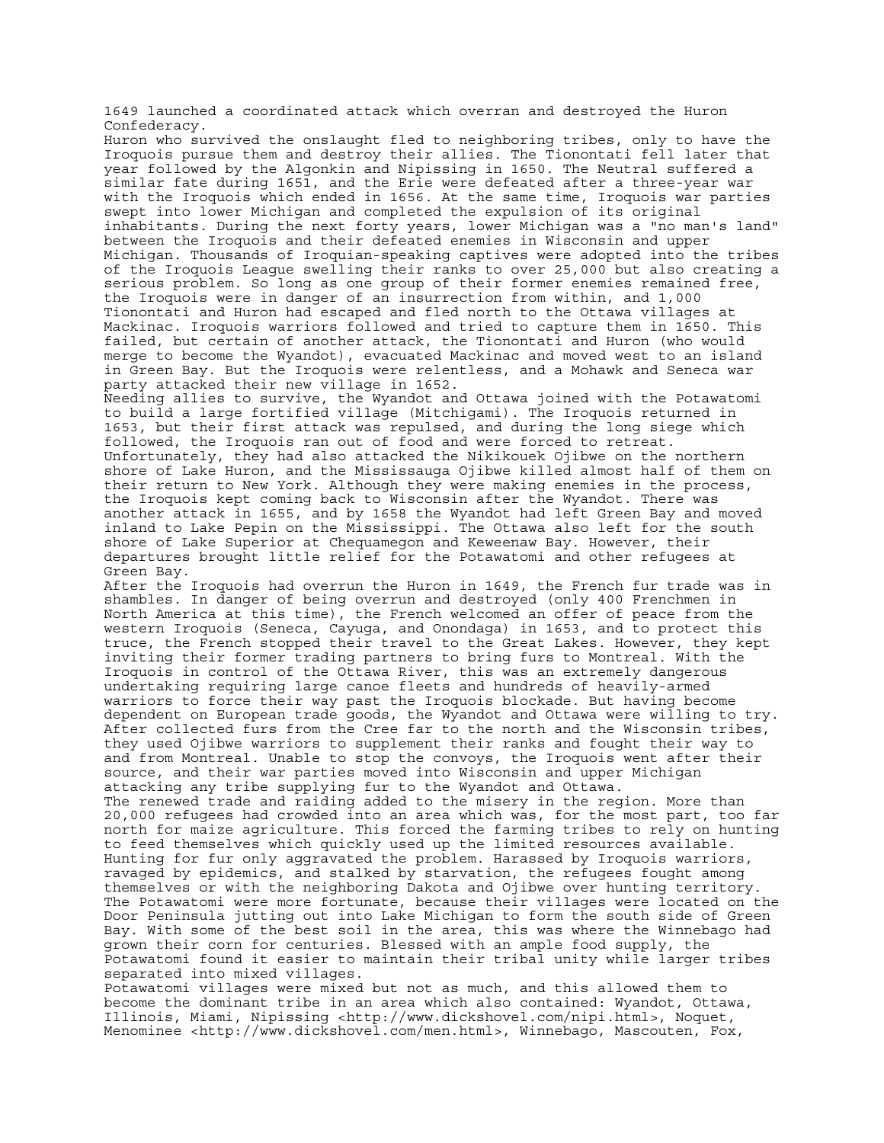1649 launched a coordinated attack which overran and destroyed the Huron Confederacy.

Huron who survived the onslaught fled to neighboring tribes, only to have the Iroquois pursue them and destroy their allies. The Tionontati fell later that year followed by the Algonkin and Nipissing in 1650. The Neutral suffered a similar fate during 1651, and the Erie were defeated after a three-year war with the Iroquois which ended in 1656. At the same time, Iroquois war parties swept into lower Michigan and completed the expulsion of its original inhabitants. During the next forty years, lower Michigan was a "no man's land" between the Iroquois and their defeated enemies in Wisconsin and upper Michigan. Thousands of Iroquian-speaking captives were adopted into the tribes of the Iroquois League swelling their ranks to over 25,000 but also creating a serious problem. So long as one group of their former enemies remained free, the Iroquois were in danger of an insurrection from within, and 1,000 Tionontati and Huron had escaped and fled north to the Ottawa villages at Mackinac. Iroquois warriors followed and tried to capture them in 1650. This failed, but certain of another attack, the Tionontati and Huron (who would merge to become the Wyandot), evacuated Mackinac and moved west to an island in Green Bay. But the Iroquois were relentless, and a Mohawk and Seneca war party attacked their new village in 1652.

Needing allies to survive, the Wyandot and Ottawa joined with the Potawatomi to build a large fortified village (Mitchigami). The Iroquois returned in 1653, but their first attack was repulsed, and during the long siege which followed, the Iroquois ran out of food and were forced to retreat. Unfortunately, they had also attacked the Nikikouek Ojibwe on the northern shore of Lake Huron, and the Mississauga Ojibwe killed almost half of them on their return to New York. Although they were making enemies in the process, the Iroquois kept coming back to Wisconsin after the Wyandot. There was another attack in 1655, and by 1658 the Wyandot had left Green Bay and moved inland to Lake Pepin on the Mississippi. The Ottawa also left for the south shore of Lake Superior at Chequamegon and Keweenaw Bay. However, their departures brought little relief for the Potawatomi and other refugees at Green Bay.

After the Iroquois had overrun the Huron in 1649, the French fur trade was in shambles. In danger of being overrun and destroyed (only 400 Frenchmen in North America at this time), the French welcomed an offer of peace from the western Iroquois (Seneca, Cayuga, and Onondaga) in 1653, and to protect this truce, the French stopped their travel to the Great Lakes. However, they kept inviting their former trading partners to bring furs to Montreal. With the Iroquois in control of the Ottawa River, this was an extremely dangerous undertaking requiring large canoe fleets and hundreds of heavily-armed warriors to force their way past the Iroquois blockade. But having become dependent on European trade goods, the Wyandot and Ottawa were willing to try. After collected furs from the Cree far to the north and the Wisconsin tribes, they used Ojibwe warriors to supplement their ranks and fought their way to and from Montreal. Unable to stop the convoys, the Iroquois went after their source, and their war parties moved into Wisconsin and upper Michigan attacking any tribe supplying fur to the Wyandot and Ottawa.

The renewed trade and raiding added to the misery in the region. More than 20,000 refugees had crowded into an area which was, for the most part, too far north for maize agriculture. This forced the farming tribes to rely on hunting to feed themselves which quickly used up the limited resources available. Hunting for fur only aggravated the problem. Harassed by Iroquois warriors, ravaged by epidemics, and stalked by starvation, the refugees fought among themselves or with the neighboring Dakota and Ojibwe over hunting territory. The Potawatomi were more fortunate, because their villages were located on the Door Peninsula jutting out into Lake Michigan to form the south side of Green Bay. With some of the best soil in the area, this was where the Winnebago had grown their corn for centuries. Blessed with an ample food supply, the Potawatomi found it easier to maintain their tribal unity while larger tribes separated into mixed villages.

Potawatomi villages were mixed but not as much, and this allowed them to become the dominant tribe in an area which also contained: Wyandot, Ottawa, Illinois, Miami, Nipissing <http://www.dickshovel.com/nipi.html>, Noquet, Menominee <http://www.dickshovel.com/men.html>, Winnebago, Mascouten, Fox,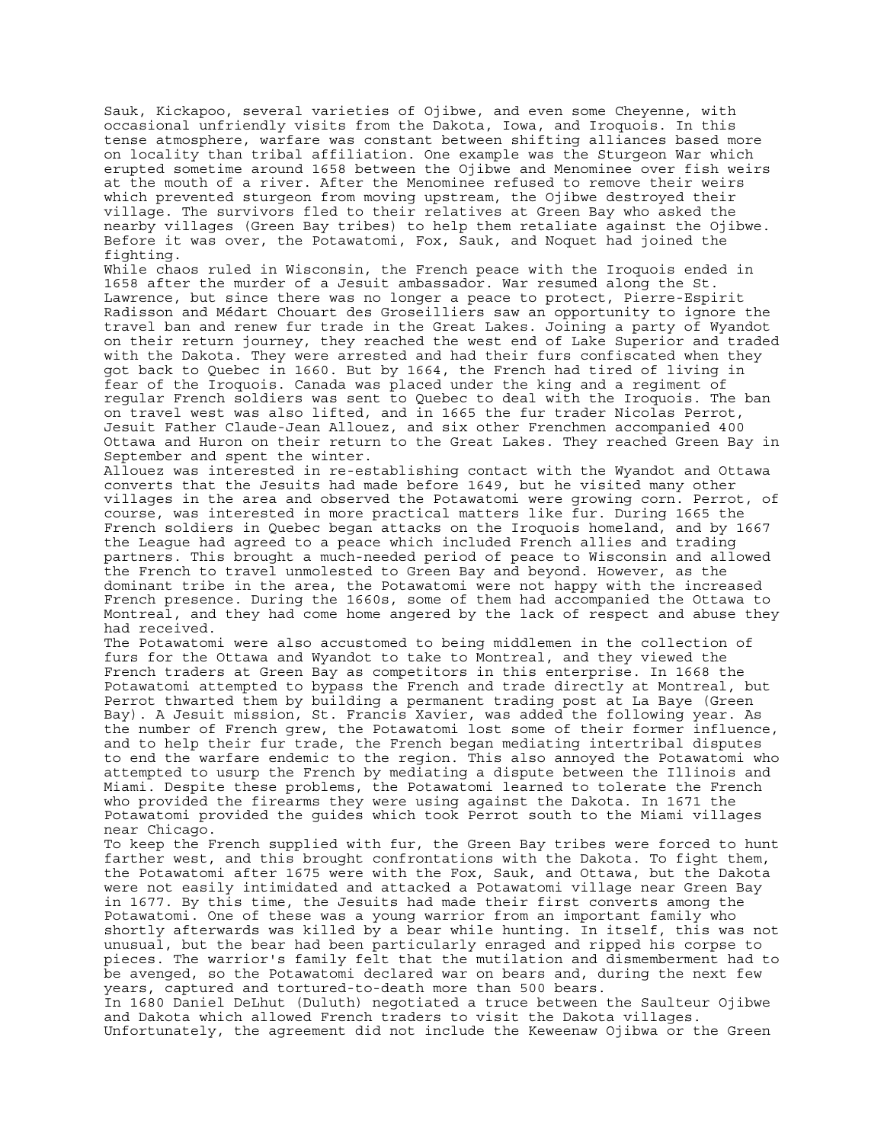Sauk, Kickapoo, several varieties of Ojibwe, and even some Cheyenne, with occasional unfriendly visits from the Dakota, Iowa, and Iroquois. In this tense atmosphere, warfare was constant between shifting alliances based more on locality than tribal affiliation. One example was the Sturgeon War which erupted sometime around 1658 between the Ojibwe and Menominee over fish weirs at the mouth of a river. After the Menominee refused to remove their weirs which prevented sturgeon from moving upstream, the Ojibwe destroyed their village. The survivors fled to their relatives at Green Bay who asked the nearby villages (Green Bay tribes) to help them retaliate against the Ojibwe. Before it was over, the Potawatomi, Fox, Sauk, and Noquet had joined the fighting.

While chaos ruled in Wisconsin, the French peace with the Iroquois ended in 1658 after the murder of a Jesuit ambassador. War resumed along the St. Lawrence, but since there was no longer a peace to protect, Pierre-Espirit Radisson and Médart Chouart des Groseilliers saw an opportunity to ignore the travel ban and renew fur trade in the Great Lakes. Joining a party of Wyandot on their return journey, they reached the west end of Lake Superior and traded with the Dakota. They were arrested and had their furs confiscated when they got back to Quebec in 1660. But by 1664, the French had tired of living in fear of the Iroquois. Canada was placed under the king and a regiment of regular French soldiers was sent to Quebec to deal with the Iroquois. The ban on travel west was also lifted, and in 1665 the fur trader Nicolas Perrot, Jesuit Father Claude-Jean Allouez, and six other Frenchmen accompanied 400 Ottawa and Huron on their return to the Great Lakes. They reached Green Bay in September and spent the winter.

Allouez was interested in re-establishing contact with the Wyandot and Ottawa converts that the Jesuits had made before 1649, but he visited many other villages in the area and observed the Potawatomi were growing corn. Perrot, of course, was interested in more practical matters like fur. During 1665 the French soldiers in Quebec began attacks on the Iroquois homeland, and by 1667 the League had agreed to a peace which included French allies and trading partners. This brought a much-needed period of peace to Wisconsin and allowed the French to travel unmolested to Green Bay and beyond. However, as the dominant tribe in the area, the Potawatomi were not happy with the increased French presence. During the 1660s, some of them had accompanied the Ottawa to Montreal, and they had come home angered by the lack of respect and abuse they had received.

The Potawatomi were also accustomed to being middlemen in the collection of furs for the Ottawa and Wyandot to take to Montreal, and they viewed the French traders at Green Bay as competitors in this enterprise. In 1668 the Potawatomi attempted to bypass the French and trade directly at Montreal, but Perrot thwarted them by building a permanent trading post at La Baye (Green Bay). A Jesuit mission, St. Francis Xavier, was added the following year. As the number of French grew, the Potawatomi lost some of their former influence, and to help their fur trade, the French began mediating intertribal disputes to end the warfare endemic to the region. This also annoyed the Potawatomi who attempted to usurp the French by mediating a dispute between the Illinois and Miami. Despite these problems, the Potawatomi learned to tolerate the French who provided the firearms they were using against the Dakota. In 1671 the Potawatomi provided the guides which took Perrot south to the Miami villages near Chicago.

To keep the French supplied with fur, the Green Bay tribes were forced to hunt farther west, and this brought confrontations with the Dakota. To fight them, the Potawatomi after 1675 were with the Fox, Sauk, and Ottawa, but the Dakota were not easily intimidated and attacked a Potawatomi village near Green Bay in 1677. By this time, the Jesuits had made their first converts among the Potawatomi. One of these was a young warrior from an important family who shortly afterwards was killed by a bear while hunting. In itself, this was not unusual, but the bear had been particularly enraged and ripped his corpse to pieces. The warrior's family felt that the mutilation and dismemberment had to be avenged, so the Potawatomi declared war on bears and, during the next few years, captured and tortured-to-death more than 500 bears.

In 1680 Daniel DeLhut (Duluth) negotiated a truce between the Saulteur Ojibwe and Dakota which allowed French traders to visit the Dakota villages. Unfortunately, the agreement did not include the Keweenaw Ojibwa or the Green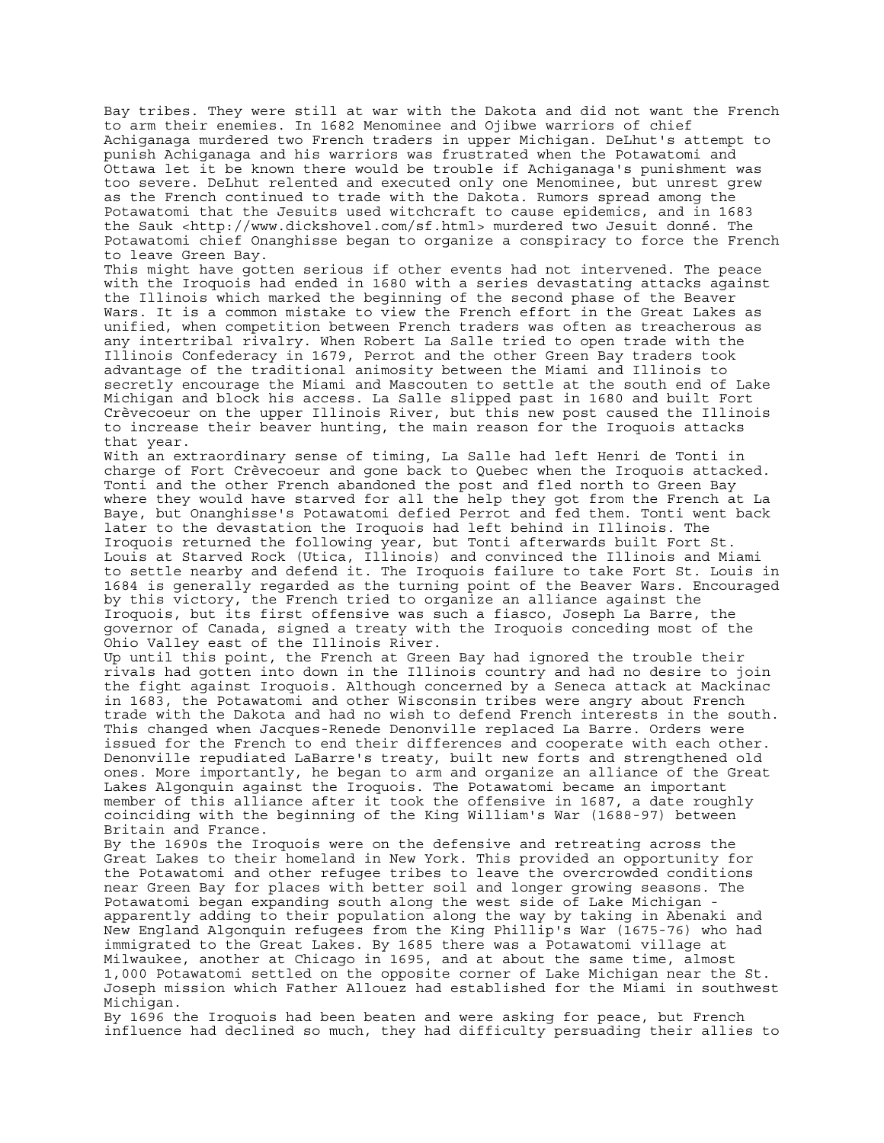Bay tribes. They were still at war with the Dakota and did not want the French to arm their enemies. In 1682 Menominee and Ojibwe warriors of chief Achiganaga murdered two French traders in upper Michigan. DeLhut's attempt to punish Achiganaga and his warriors was frustrated when the Potawatomi and Ottawa let it be known there would be trouble if Achiganaga's punishment was too severe. DeLhut relented and executed only one Menominee, but unrest grew as the French continued to trade with the Dakota. Rumors spread among the Potawatomi that the Jesuits used witchcraft to cause epidemics, and in 1683 the Sauk <http://www.dickshovel.com/sf.html> murdered two Jesuit donné. The Potawatomi chief Onanghisse began to organize a conspiracy to force the French to leave Green Bay.

This might have gotten serious if other events had not intervened. The peace with the Iroquois had ended in 1680 with a series devastating attacks against the Illinois which marked the beginning of the second phase of the Beaver Wars. It is a common mistake to view the French effort in the Great Lakes as unified, when competition between French traders was often as treacherous as any intertribal rivalry. When Robert La Salle tried to open trade with the Illinois Confederacy in 1679, Perrot and the other Green Bay traders took advantage of the traditional animosity between the Miami and Illinois to secretly encourage the Miami and Mascouten to settle at the south end of Lake Michigan and block his access. La Salle slipped past in 1680 and built Fort Crèvecoeur on the upper Illinois River, but this new post caused the Illinois to increase their beaver hunting, the main reason for the Iroquois attacks that year.

With an extraordinary sense of timing, La Salle had left Henri de Tonti in charge of Fort Crèvecoeur and gone back to Quebec when the Iroquois attacked. Tonti and the other French abandoned the post and fled north to Green Bay where they would have starved for all the help they got from the French at La Baye, but Onanghisse's Potawatomi defied Perrot and fed them. Tonti went back later to the devastation the Iroquois had left behind in Illinois. The Iroquois returned the following year, but Tonti afterwards built Fort St. Louis at Starved Rock (Utica, Illinois) and convinced the Illinois and Miami to settle nearby and defend it. The Iroquois failure to take Fort St. Louis in 1684 is generally regarded as the turning point of the Beaver Wars. Encouraged by this victory, the French tried to organize an alliance against the Iroquois, but its first offensive was such a fiasco, Joseph La Barre, the governor of Canada, signed a treaty with the Iroquois conceding most of the Ohio Valley east of the Illinois River.

Up until this point, the French at Green Bay had ignored the trouble their rivals had gotten into down in the Illinois country and had no desire to join the fight against Iroquois. Although concerned by a Seneca attack at Mackinac in 1683, the Potawatomi and other Wisconsin tribes were angry about French trade with the Dakota and had no wish to defend French interests in the south. This changed when Jacques-Renede Denonville replaced La Barre. Orders were issued for the French to end their differences and cooperate with each other. Denonville repudiated LaBarre's treaty, built new forts and strengthened old ones. More importantly, he began to arm and organize an alliance of the Great Lakes Algonquin against the Iroquois. The Potawatomi became an important member of this alliance after it took the offensive in 1687, a date roughly coinciding with the beginning of the King William's War (1688-97) between Britain and France.

By the 1690s the Iroquois were on the defensive and retreating across the Great Lakes to their homeland in New York. This provided an opportunity for the Potawatomi and other refugee tribes to leave the overcrowded conditions near Green Bay for places with better soil and longer growing seasons. The Potawatomi began expanding south along the west side of Lake Michigan apparently adding to their population along the way by taking in Abenaki and New England Algonquin refugees from the King Phillip's War (1675-76) who had immigrated to the Great Lakes. By 1685 there was a Potawatomi village at Milwaukee, another at Chicago in 1695, and at about the same time, almost 1,000 Potawatomi settled on the opposite corner of Lake Michigan near the St. Joseph mission which Father Allouez had established for the Miami in southwest Michigan.

By 1696 the Iroquois had been beaten and were asking for peace, but French influence had declined so much, they had difficulty persuading their allies to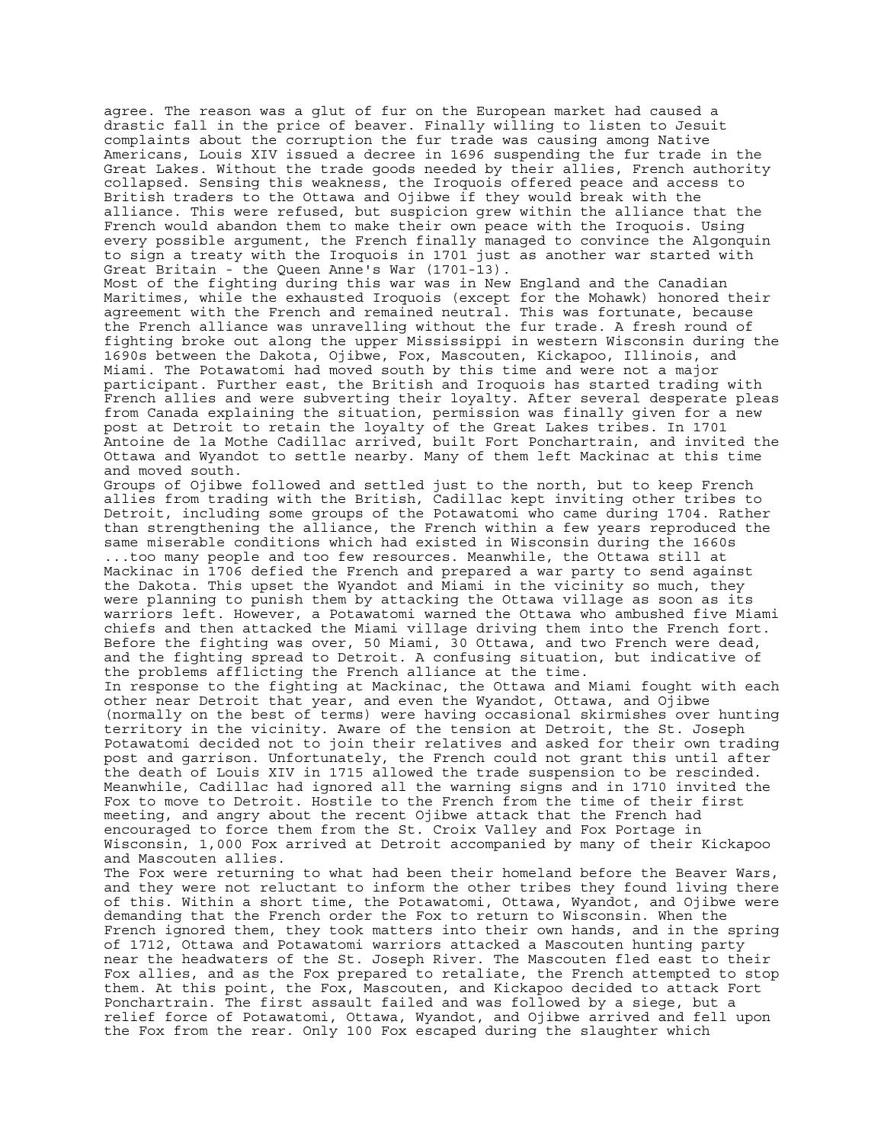agree. The reason was a glut of fur on the European market had caused a drastic fall in the price of beaver. Finally willing to listen to Jesuit complaints about the corruption the fur trade was causing among Native Americans, Louis XIV issued a decree in 1696 suspending the fur trade in the Great Lakes. Without the trade goods needed by their allies, French authority collapsed. Sensing this weakness, the Iroquois offered peace and access to British traders to the Ottawa and Ojibwe if they would break with the alliance. This were refused, but suspicion grew within the alliance that the French would abandon them to make their own peace with the Iroquois. Using every possible argument, the French finally managed to convince the Algonquin to sign a treaty with the Iroquois in 1701 just as another war started with Great Britain - the Queen Anne's War (1701-13). Most of the fighting during this war was in New England and the Canadian Maritimes, while the exhausted Iroquois (except for the Mohawk) honored their agreement with the French and remained neutral. This was fortunate, because the French alliance was unravelling without the fur trade. A fresh round of fighting broke out along the upper Mississippi in western Wisconsin during the 1690s between the Dakota, Ojibwe, Fox, Mascouten, Kickapoo, Illinois, and Miami. The Potawatomi had moved south by this time and were not a major participant. Further east, the British and Iroquois has started trading with French allies and were subverting their loyalty. After several desperate pleas from Canada explaining the situation, permission was finally given for a new post at Detroit to retain the loyalty of the Great Lakes tribes. In 1701 Antoine de la Mothe Cadillac arrived, built Fort Ponchartrain, and invited the Ottawa and Wyandot to settle nearby. Many of them left Mackinac at this time and moved south. Groups of Ojibwe followed and settled just to the north, but to keep French allies from trading with the British, Cadillac kept inviting other tribes to Detroit, including some groups of the Potawatomi who came during 1704. Rather than strengthening the alliance, the French within a few years reproduced the same miserable conditions which had existed in Wisconsin during the 1660s ...too many people and too few resources. Meanwhile, the Ottawa still at Mackinac in 1706 defied the French and prepared a war party to send against the Dakota. This upset the Wyandot and Miami in the vicinity so much, they were planning to punish them by attacking the Ottawa village as soon as its warriors left. However, a Potawatomi warned the Ottawa who ambushed five Miami chiefs and then attacked the Miami village driving them into the French fort. Before the fighting was over, 50 Miami, 30 Ottawa, and two French were dead, and the fighting spread to Detroit. A confusing situation, but indicative of the problems afflicting the French alliance at the time. In response to the fighting at Mackinac, the Ottawa and Miami fought with each other near Detroit that year, and even the Wyandot, Ottawa, and Ojibwe (normally on the best of terms) were having occasional skirmishes over hunting territory in the vicinity. Aware of the tension at Detroit, the St. Joseph Potawatomi decided not to join their relatives and asked for their own trading post and garrison. Unfortunately, the French could not grant this until after the death of Louis XIV in 1715 allowed the trade suspension to be rescinded. Meanwhile, Cadillac had ignored all the warning signs and in 1710 invited the Fox to move to Detroit. Hostile to the French from the time of their first meeting, and angry about the recent Ojibwe attack that the French had encouraged to force them from the St. Croix Valley and Fox Portage in Wisconsin, 1,000 Fox arrived at Detroit accompanied by many of their Kickapoo and Mascouten allies. The Fox were returning to what had been their homeland before the Beaver Wars, and they were not reluctant to inform the other tribes they found living there of this. Within a short time, the Potawatomi, Ottawa, Wyandot, and Ojibwe were demanding that the French order the Fox to return to Wisconsin. When the French ignored them, they took matters into their own hands, and in the spring of 1712, Ottawa and Potawatomi warriors attacked a Mascouten hunting party near the headwaters of the St. Joseph River. The Mascouten fled east to their

Fox allies, and as the Fox prepared to retaliate, the French attempted to stop them. At this point, the Fox, Mascouten, and Kickapoo decided to attack Fort Ponchartrain. The first assault failed and was followed by a siege, but a relief force of Potawatomi, Ottawa, Wyandot, and Ojibwe arrived and fell upon the Fox from the rear. Only 100 Fox escaped during the slaughter which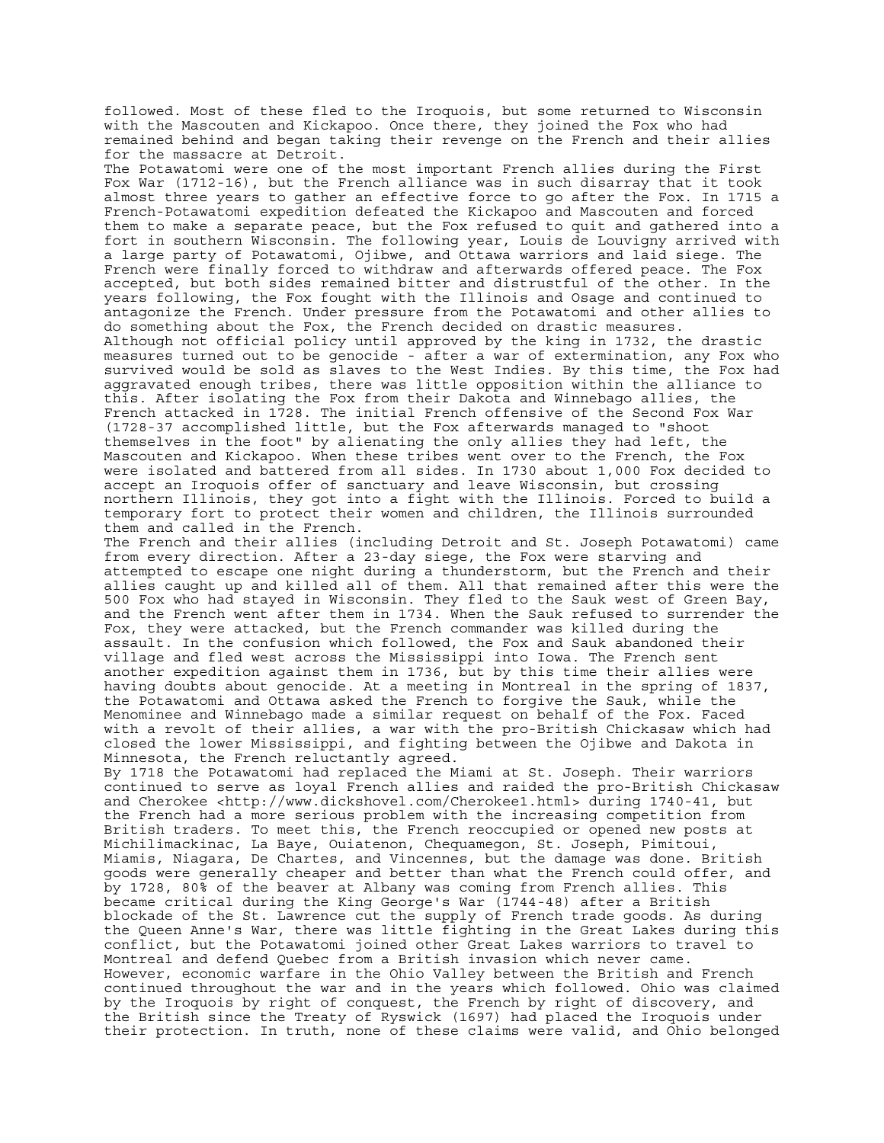followed. Most of these fled to the Iroquois, but some returned to Wisconsin with the Mascouten and Kickapoo. Once there, they joined the Fox who had remained behind and began taking their revenge on the French and their allies for the massacre at Detroit. The Potawatomi were one of the most important French allies during the First Fox War (1712-16), but the French alliance was in such disarray that it took almost three years to gather an effective force to go after the Fox. In 1715 a French-Potawatomi expedition defeated the Kickapoo and Mascouten and forced them to make a separate peace, but the Fox refused to quit and gathered into a fort in southern Wisconsin. The following year, Louis de Louvigny arrived with a large party of Potawatomi, Ojibwe, and Ottawa warriors and laid siege. The French were finally forced to withdraw and afterwards offered peace. The Fox accepted, but both sides remained bitter and distrustful of the other. In the years following, the Fox fought with the Illinois and Osage and continued to antagonize the French. Under pressure from the Potawatomi and other allies to do something about the Fox, the French decided on drastic measures. Although not official policy until approved by the king in 1732, the drastic measures turned out to be genocide - after a war of extermination, any Fox who survived would be sold as slaves to the West Indies. By this time, the Fox had aggravated enough tribes, there was little opposition within the alliance to this. After isolating the Fox from their Dakota and Winnebago allies, the French attacked in 1728. The initial French offensive of the Second Fox War (1728-37 accomplished little, but the Fox afterwards managed to "shoot themselves in the foot" by alienating the only allies they had left, the Mascouten and Kickapoo. When these tribes went over to the French, the Fox were isolated and battered from all sides. In 1730 about 1,000 Fox decided to accept an Iroquois offer of sanctuary and leave Wisconsin, but crossing northern Illinois, they got into a fight with the Illinois. Forced to build a temporary fort to protect their women and children, the Illinois surrounded them and called in the French. The French and their allies (including Detroit and St. Joseph Potawatomi) came from every direction. After a 23-day siege, the Fox were starving and attempted to escape one night during a thunderstorm, but the French and their allies caught up and killed all of them. All that remained after this were the 500 Fox who had stayed in Wisconsin. They fled to the Sauk west of Green Bay, and the French went after them in 1734. When the Sauk refused to surrender the Fox, they were attacked, but the French commander was killed during the assault. In the confusion which followed, the Fox and Sauk abandoned their village and fled west across the Mississippi into Iowa. The French sent another expedition against them in 1736, but by this time their allies were having doubts about genocide. At a meeting in Montreal in the spring of 1837, the Potawatomi and Ottawa asked the French to forgive the Sauk, while the Menominee and Winnebago made a similar request on behalf of the Fox. Faced with a revolt of their allies, a war with the pro-British Chickasaw which had closed the lower Mississippi, and fighting between the Ojibwe and Dakota in Minnesota, the French reluctantly agreed. By 1718 the Potawatomi had replaced the Miami at St. Joseph. Their warriors continued to serve as loyal French allies and raided the pro-British Chickasaw and Cherokee <http://www.dickshovel.com/Cherokee1.html> during 1740-41, but the French had a more serious problem with the increasing competition from British traders. To meet this, the French reoccupied or opened new posts at Michilimackinac, La Baye, Ouiatenon, Chequamegon, St. Joseph, Pimitoui, Miamis, Niagara, De Chartes, and Vincennes, but the damage was done. British goods were generally cheaper and better than what the French could offer, and by 1728, 80% of the beaver at Albany was coming from French allies. This became critical during the King George's War (1744-48) after a British blockade of the St. Lawrence cut the supply of French trade goods. As during the Queen Anne's War, there was little fighting in the Great Lakes during this conflict, but the Potawatomi joined other Great Lakes warriors to travel to Montreal and defend Quebec from a British invasion which never came. However, economic warfare in the Ohio Valley between the British and French continued throughout the war and in the years which followed. Ohio was claimed by the Iroquois by right of conquest, the French by right of discovery, and the British since the Treaty of Ryswick (1697) had placed the Iroquois under their protection. In truth, none of these claims were valid, and Ohio belonged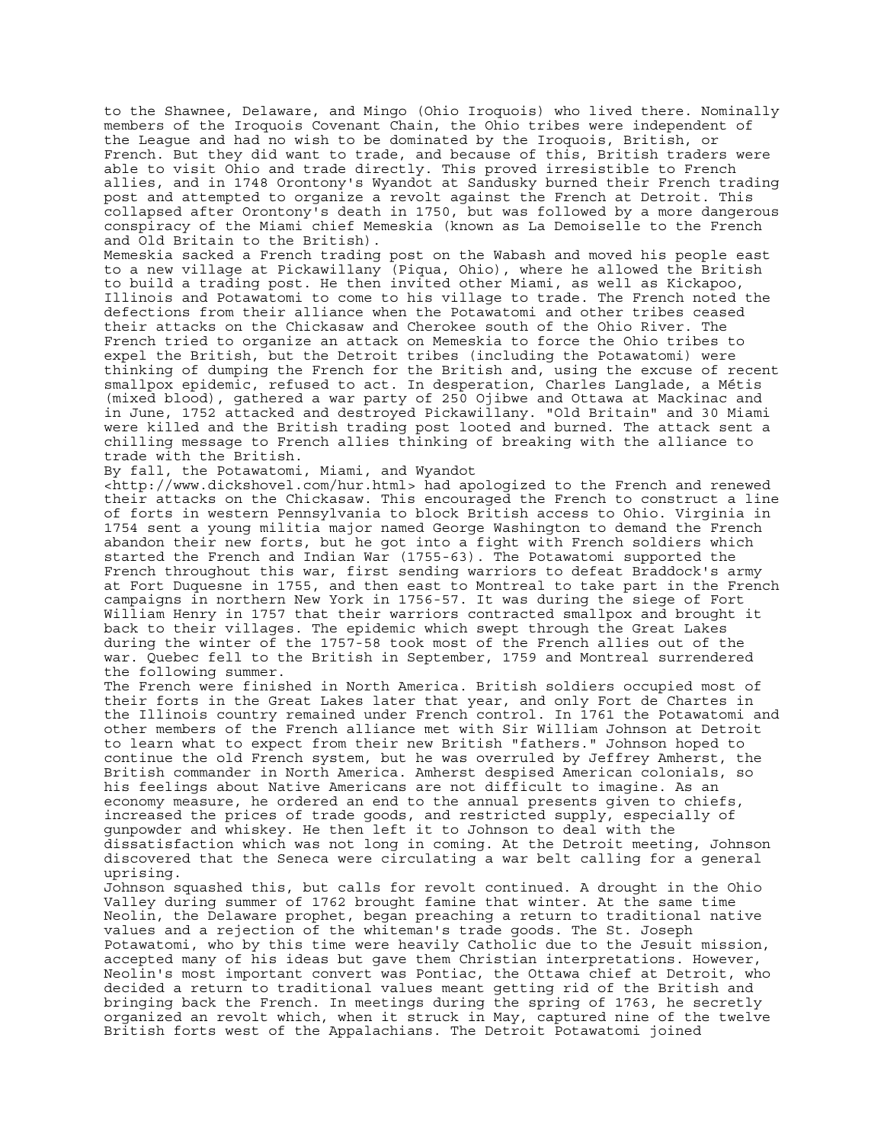to the Shawnee, Delaware, and Mingo (Ohio Iroquois) who lived there. Nominally members of the Iroquois Covenant Chain, the Ohio tribes were independent of the League and had no wish to be dominated by the Iroquois, British, or French. But they did want to trade, and because of this, British traders were able to visit Ohio and trade directly. This proved irresistible to French allies, and in 1748 Orontony's Wyandot at Sandusky burned their French trading post and attempted to organize a revolt against the French at Detroit. This collapsed after Orontony's death in 1750, but was followed by a more dangerous conspiracy of the Miami chief Memeskia (known as La Demoiselle to the French and Old Britain to the British).

Memeskia sacked a French trading post on the Wabash and moved his people east to a new village at Pickawillany (Piqua, Ohio), where he allowed the British to build a trading post. He then invited other Miami, as well as Kickapoo, Illinois and Potawatomi to come to his village to trade. The French noted the defections from their alliance when the Potawatomi and other tribes ceased their attacks on the Chickasaw and Cherokee south of the Ohio River. The French tried to organize an attack on Memeskia to force the Ohio tribes to expel the British, but the Detroit tribes (including the Potawatomi) were thinking of dumping the French for the British and, using the excuse of recent smallpox epidemic, refused to act. In desperation, Charles Langlade, a Métis (mixed blood), gathered a war party of 250 Ojibwe and Ottawa at Mackinac and in June, 1752 attacked and destroyed Pickawillany. "Old Britain" and 30 Miami were killed and the British trading post looted and burned. The attack sent a chilling message to French allies thinking of breaking with the alliance to trade with the British.

By fall, the Potawatomi, Miami, and Wyandot

<http://www.dickshovel.com/hur.html> had apologized to the French and renewed their attacks on the Chickasaw. This encouraged the French to construct a line of forts in western Pennsylvania to block British access to Ohio. Virginia in 1754 sent a young militia major named George Washington to demand the French abandon their new forts, but he got into a fight with French soldiers which started the French and Indian War (1755-63). The Potawatomi supported the French throughout this war, first sending warriors to defeat Braddock's army at Fort Duquesne in 1755, and then east to Montreal to take part in the French campaigns in northern New York in 1756-57. It was during the siege of Fort William Henry in 1757 that their warriors contracted smallpox and brought it back to their villages. The epidemic which swept through the Great Lakes during the winter of the 1757-58 took most of the French allies out of the war. Quebec fell to the British in September, 1759 and Montreal surrendered the following summer.

The French were finished in North America. British soldiers occupied most of their forts in the Great Lakes later that year, and only Fort de Chartes in the Illinois country remained under French control. In 1761 the Potawatomi and other members of the French alliance met with Sir William Johnson at Detroit to learn what to expect from their new British "fathers." Johnson hoped to continue the old French system, but he was overruled by Jeffrey Amherst, the British commander in North America. Amherst despised American colonials, so his feelings about Native Americans are not difficult to imagine. As an economy measure, he ordered an end to the annual presents given to chiefs, increased the prices of trade goods, and restricted supply, especially of gunpowder and whiskey. He then left it to Johnson to deal with the dissatisfaction which was not long in coming. At the Detroit meeting, Johnson discovered that the Seneca were circulating a war belt calling for a general uprising.

Johnson squashed this, but calls for revolt continued. A drought in the Ohio Valley during summer of 1762 brought famine that winter. At the same time Neolin, the Delaware prophet, began preaching a return to traditional native values and a rejection of the whiteman's trade goods. The St. Joseph Potawatomi, who by this time were heavily Catholic due to the Jesuit mission, accepted many of his ideas but gave them Christian interpretations. However, Neolin's most important convert was Pontiac, the Ottawa chief at Detroit, who decided a return to traditional values meant getting rid of the British and bringing back the French. In meetings during the spring of 1763, he secretly organized an revolt which, when it struck in May, captured nine of the twelve British forts west of the Appalachians. The Detroit Potawatomi joined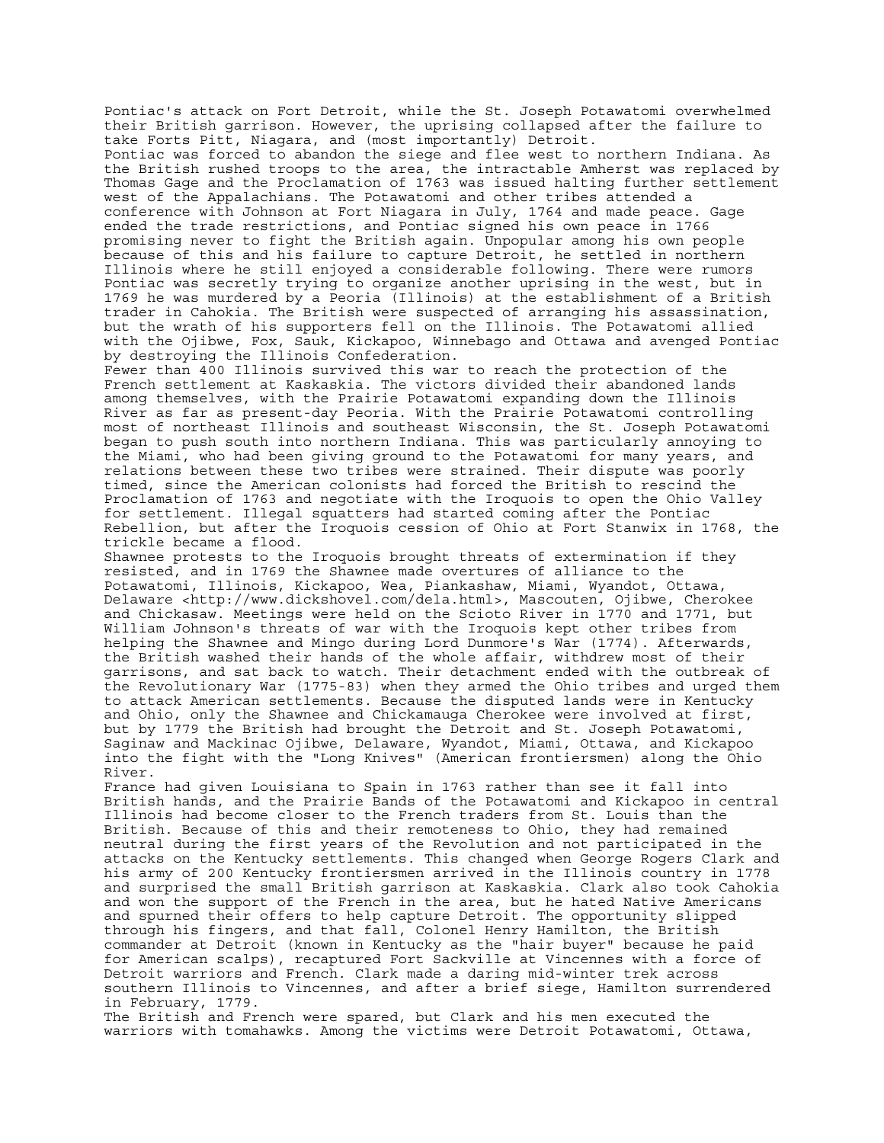Pontiac's attack on Fort Detroit, while the St. Joseph Potawatomi overwhelmed their British garrison. However, the uprising collapsed after the failure to take Forts Pitt, Niagara, and (most importantly) Detroit. Pontiac was forced to abandon the siege and flee west to northern Indiana. As the British rushed troops to the area, the intractable Amherst was replaced by Thomas Gage and the Proclamation of 1763 was issued halting further settlement west of the Appalachians. The Potawatomi and other tribes attended a conference with Johnson at Fort Niagara in July, 1764 and made peace. Gage ended the trade restrictions, and Pontiac signed his own peace in 1766 promising never to fight the British again. Unpopular among his own people because of this and his failure to capture Detroit, he settled in northern Illinois where he still enjoyed a considerable following. There were rumors Pontiac was secretly trying to organize another uprising in the west, but in 1769 he was murdered by a Peoria (Illinois) at the establishment of a British trader in Cahokia. The British were suspected of arranging his assassination, but the wrath of his supporters fell on the Illinois. The Potawatomi allied with the Ojibwe, Fox, Sauk, Kickapoo, Winnebago and Ottawa and avenged Pontiac by destroying the Illinois Confederation. Fewer than 400 Illinois survived this war to reach the protection of the French settlement at Kaskaskia. The victors divided their abandoned lands among themselves, with the Prairie Potawatomi expanding down the Illinois River as far as present-day Peoria. With the Prairie Potawatomi controlling most of northeast Illinois and southeast Wisconsin, the St. Joseph Potawatomi began to push south into northern Indiana. This was particularly annoying to the Miami, who had been giving ground to the Potawatomi for many years, and relations between these two tribes were strained. Their dispute was poorly timed, since the American colonists had forced the British to rescind the Proclamation of 1763 and negotiate with the Iroquois to open the Ohio Valley for settlement. Illegal squatters had started coming after the Pontiac Rebellion, but after the Iroquois cession of Ohio at Fort Stanwix in 1768, the trickle became a flood. Shawnee protests to the Iroquois brought threats of extermination if they resisted, and in 1769 the Shawnee made overtures of alliance to the Potawatomi, Illinois, Kickapoo, Wea, Piankashaw, Miami, Wyandot, Ottawa, Delaware <http://www.dickshovel.com/dela.html>, Mascouten, Ojibwe, Cherokee and Chickasaw. Meetings were held on the Scioto River in 1770 and 1771, but William Johnson's threats of war with the Iroquois kept other tribes from helping the Shawnee and Mingo during Lord Dunmore's War (1774). Afterwards, the British washed their hands of the whole affair, withdrew most of their garrisons, and sat back to watch. Their detachment ended with the outbreak of the Revolutionary War (1775-83) when they armed the Ohio tribes and urged them to attack American settlements. Because the disputed lands were in Kentucky and Ohio, only the Shawnee and Chickamauga Cherokee were involved at first, but by 1779 the British had brought the Detroit and St. Joseph Potawatomi, Saginaw and Mackinac Ojibwe, Delaware, Wyandot, Miami, Ottawa, and Kickapoo into the fight with the "Long Knives" (American frontiersmen) along the Ohio River. France had given Louisiana to Spain in 1763 rather than see it fall into British hands, and the Prairie Bands of the Potawatomi and Kickapoo in central Illinois had become closer to the French traders from St. Louis than the British. Because of this and their remoteness to Ohio, they had remained neutral during the first years of the Revolution and not participated in the attacks on the Kentucky settlements. This changed when George Rogers Clark and his army of 200 Kentucky frontiersmen arrived in the Illinois country in 1778 and surprised the small British garrison at Kaskaskia. Clark also took Cahokia and won the support of the French in the area, but he hated Native Americans and spurned their offers to help capture Detroit. The opportunity slipped through his fingers, and that fall, Colonel Henry Hamilton, the British commander at Detroit (known in Kentucky as the "hair buyer" because he paid for American scalps), recaptured Fort Sackville at Vincennes with a force of Detroit warriors and French. Clark made a daring mid-winter trek across southern Illinois to Vincennes, and after a brief siege, Hamilton surrendered

in February, 1779. The British and French were spared, but Clark and his men executed the warriors with tomahawks. Among the victims were Detroit Potawatomi, Ottawa,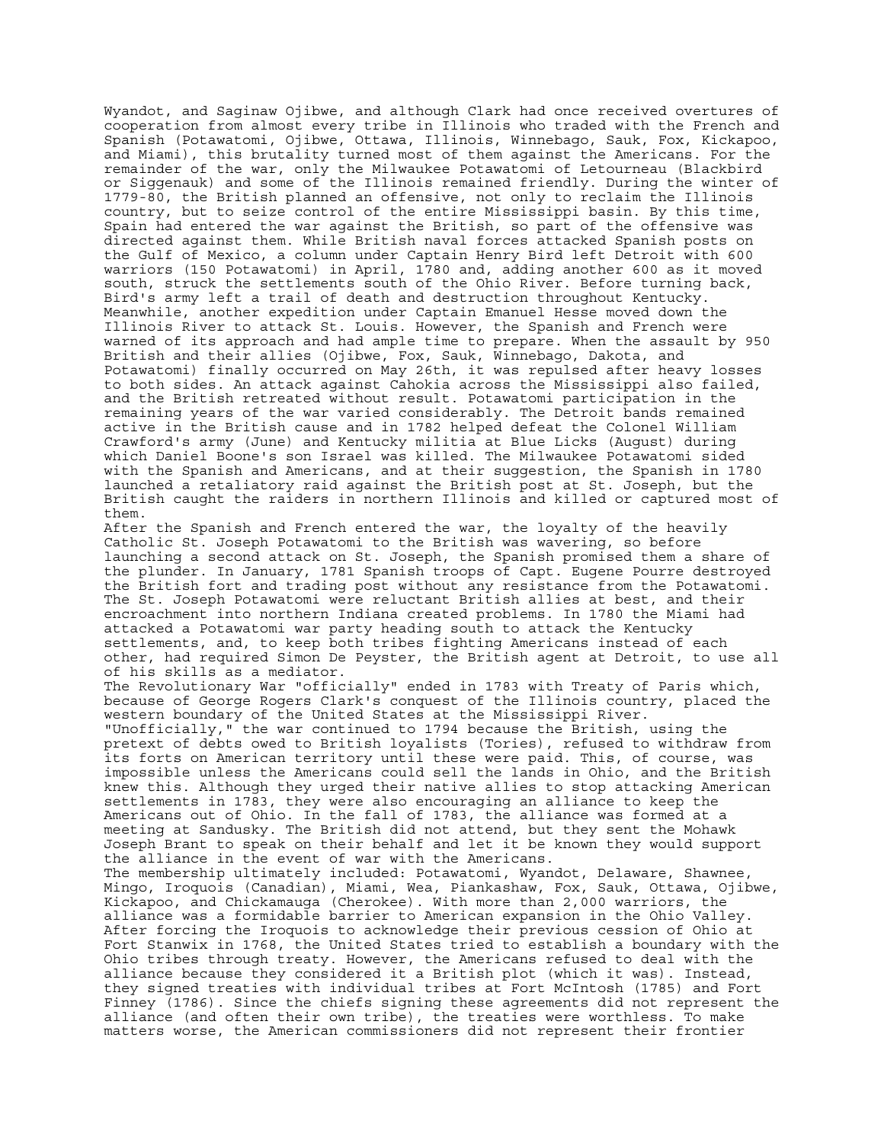Wyandot, and Saginaw Ojibwe, and although Clark had once received overtures of cooperation from almost every tribe in Illinois who traded with the French and Spanish (Potawatomi, Ojibwe, Ottawa, Illinois, Winnebago, Sauk, Fox, Kickapoo, and Miami), this brutality turned most of them against the Americans. For the remainder of the war, only the Milwaukee Potawatomi of Letourneau (Blackbird or Siggenauk) and some of the Illinois remained friendly. During the winter of 1779-80, the British planned an offensive, not only to reclaim the Illinois country, but to seize control of the entire Mississippi basin. By this time, Spain had entered the war against the British, so part of the offensive was directed against them. While British naval forces attacked Spanish posts on the Gulf of Mexico, a column under Captain Henry Bird left Detroit with 600 warriors (150 Potawatomi) in April, 1780 and, adding another 600 as it moved south, struck the settlements south of the Ohio River. Before turning back, Bird's army left a trail of death and destruction throughout Kentucky. Meanwhile, another expedition under Captain Emanuel Hesse moved down the Illinois River to attack St. Louis. However, the Spanish and French were warned of its approach and had ample time to prepare. When the assault by 950 British and their allies (Ojibwe, Fox, Sauk, Winnebago, Dakota, and Potawatomi) finally occurred on May 26th, it was repulsed after heavy losses to both sides. An attack against Cahokia across the Mississippi also failed, and the British retreated without result. Potawatomi participation in the remaining years of the war varied considerably. The Detroit bands remained active in the British cause and in 1782 helped defeat the Colonel William Crawford's army (June) and Kentucky militia at Blue Licks (August) during which Daniel Boone's son Israel was killed. The Milwaukee Potawatomi sided with the Spanish and Americans, and at their suggestion, the Spanish in 1780 launched a retaliatory raid against the British post at St. Joseph, but the British caught the raiders in northern Illinois and killed or captured most of them.

After the Spanish and French entered the war, the loyalty of the heavily Catholic St. Joseph Potawatomi to the British was wavering, so before launching a second attack on St. Joseph, the Spanish promised them a share of the plunder. In January, 1781 Spanish troops of Capt. Eugene Pourre destroyed the British fort and trading post without any resistance from the Potawatomi. The St. Joseph Potawatomi were reluctant British allies at best, and their encroachment into northern Indiana created problems. In 1780 the Miami had attacked a Potawatomi war party heading south to attack the Kentucky settlements, and, to keep both tribes fighting Americans instead of each other, had required Simon De Peyster, the British agent at Detroit, to use all of his skills as a mediator.

The Revolutionary War "officially" ended in 1783 with Treaty of Paris which, because of George Rogers Clark's conquest of the Illinois country, placed the western boundary of the United States at the Mississippi River. "Unofficially," the war continued to 1794 because the British, using the pretext of debts owed to British loyalists (Tories), refused to withdraw from its forts on American territory until these were paid. This, of course, was impossible unless the Americans could sell the lands in Ohio, and the British knew this. Although they urged their native allies to stop attacking American settlements in 1783, they were also encouraging an alliance to keep the Americans out of Ohio. In the fall of 1783, the alliance was formed at a meeting at Sandusky. The British did not attend, but they sent the Mohawk Joseph Brant to speak on their behalf and let it be known they would support the alliance in the event of war with the Americans. The membership ultimately included: Potawatomi, Wyandot, Delaware, Shawnee, Mingo, Iroquois (Canadian), Miami, Wea, Piankashaw, Fox, Sauk, Ottawa, Ojibwe, Kickapoo, and Chickamauga (Cherokee). With more than 2,000 warriors, the alliance was a formidable barrier to American expansion in the Ohio Valley. After forcing the Iroquois to acknowledge their previous cession of Ohio at Fort Stanwix in 1768, the United States tried to establish a boundary with the Ohio tribes through treaty. However, the Americans refused to deal with the alliance because they considered it a British plot (which it was). Instead, they signed treaties with individual tribes at Fort McIntosh (1785) and Fort Finney (1786). Since the chiefs signing these agreements did not represent the alliance (and often their own tribe), the treaties were worthless. To make matters worse, the American commissioners did not represent their frontier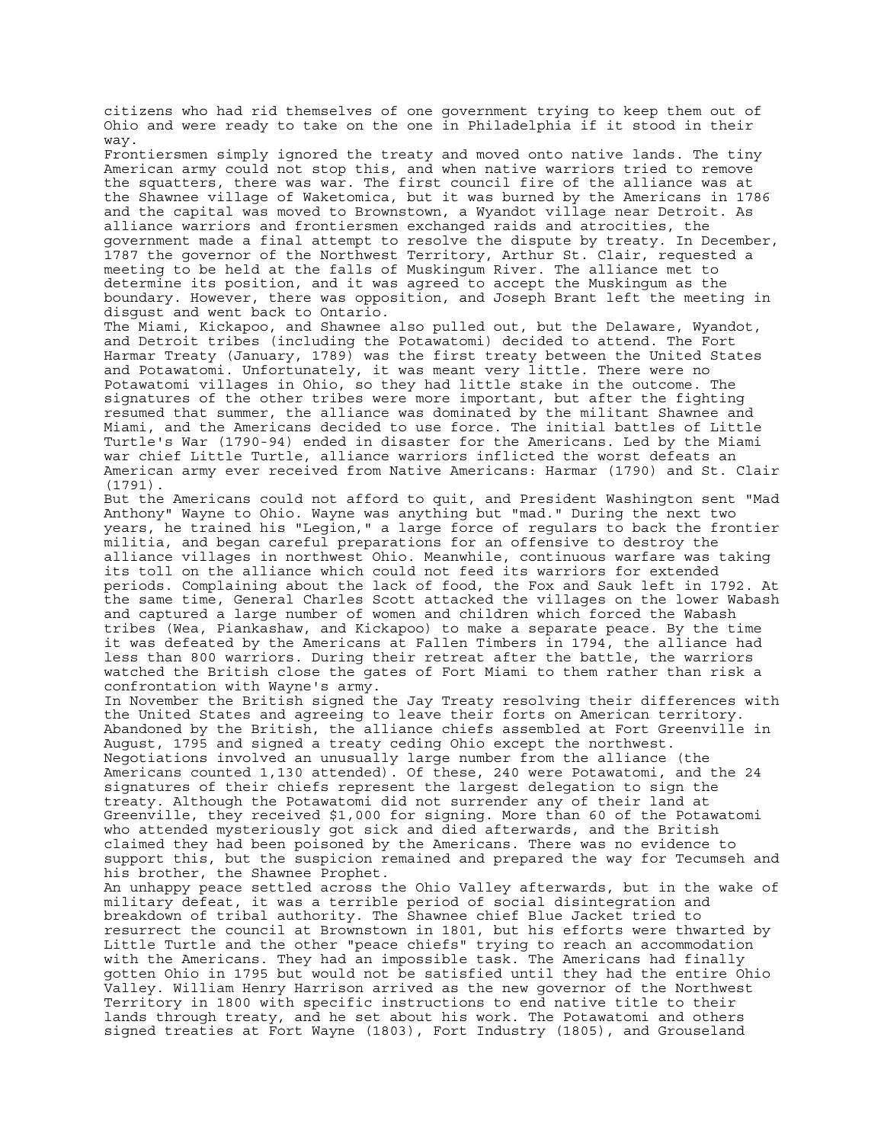citizens who had rid themselves of one government trying to keep them out of Ohio and were ready to take on the one in Philadelphia if it stood in their way. Frontiersmen simply ignored the treaty and moved onto native lands. The tiny American army could not stop this, and when native warriors tried to remove the squatters, there was war. The first council fire of the alliance was at the Shawnee village of Waketomica, but it was burned by the Americans in 1786 and the capital was moved to Brownstown, a Wyandot village near Detroit. As alliance warriors and frontiersmen exchanged raids and atrocities, the government made a final attempt to resolve the dispute by treaty. In December, 1787 the governor of the Northwest Territory, Arthur St. Clair, requested a meeting to be held at the falls of Muskingum River. The alliance met to determine its position, and it was agreed to accept the Muskingum as the boundary. However, there was opposition, and Joseph Brant left the meeting in disgust and went back to Ontario. The Miami, Kickapoo, and Shawnee also pulled out, but the Delaware, Wyandot, and Detroit tribes (including the Potawatomi) decided to attend. The Fort Harmar Treaty (January, 1789) was the first treaty between the United States and Potawatomi. Unfortunately, it was meant very little. There were no Potawatomi villages in Ohio, so they had little stake in the outcome. The signatures of the other tribes were more important, but after the fighting resumed that summer, the alliance was dominated by the militant Shawnee and Miami, and the Americans decided to use force. The initial battles of Little Turtle's War (1790-94) ended in disaster for the Americans. Led by the Miami war chief Little Turtle, alliance warriors inflicted the worst defeats an American army ever received from Native Americans: Harmar (1790) and St. Clair (1791). But the Americans could not afford to quit, and President Washington sent "Mad Anthony" Wayne to Ohio. Wayne was anything but "mad." During the next two years, he trained his "Legion," a large force of regulars to back the frontier militia, and began careful preparations for an offensive to destroy the alliance villages in northwest Ohio. Meanwhile, continuous warfare was taking its toll on the alliance which could not feed its warriors for extended periods. Complaining about the lack of food, the Fox and Sauk left in 1792. At the same time, General Charles Scott attacked the villages on the lower Wabash and captured a large number of women and children which forced the Wabash tribes (Wea, Piankashaw, and Kickapoo) to make a separate peace. By the time it was defeated by the Americans at Fallen Timbers in 1794, the alliance had less than 800 warriors. During their retreat after the battle, the warriors watched the British close the gates of Fort Miami to them rather than risk a confrontation with Wayne's army. In November the British signed the Jay Treaty resolving their differences with the United States and agreeing to leave their forts on American territory. Abandoned by the British, the alliance chiefs assembled at Fort Greenville in August, 1795 and signed a treaty ceding Ohio except the northwest. Negotiations involved an unusually large number from the alliance (the Americans counted 1,130 attended). Of these, 240 were Potawatomi, and the 24 signatures of their chiefs represent the largest delegation to sign the treaty. Although the Potawatomi did not surrender any of their land at Greenville, they received \$1,000 for signing. More than 60 of the Potawatomi who attended mysteriously got sick and died afterwards, and the British claimed they had been poisoned by the Americans. There was no evidence to support this, but the suspicion remained and prepared the way for Tecumseh and his brother, the Shawnee Prophet. An unhappy peace settled across the Ohio Valley afterwards, but in the wake of military defeat, it was a terrible period of social disintegration and breakdown of tribal authority. The Shawnee chief Blue Jacket tried to resurrect the council at Brownstown in 1801, but his efforts were thwarted by Little Turtle and the other "peace chiefs" trying to reach an accommodation with the Americans. They had an impossible task. The Americans had finally gotten Ohio in 1795 but would not be satisfied until they had the entire Ohio Valley. William Henry Harrison arrived as the new governor of the Northwest Territory in 1800 with specific instructions to end native title to their lands through treaty, and he set about his work. The Potawatomi and others signed treaties at Fort Wayne (1803), Fort Industry (1805), and Grouseland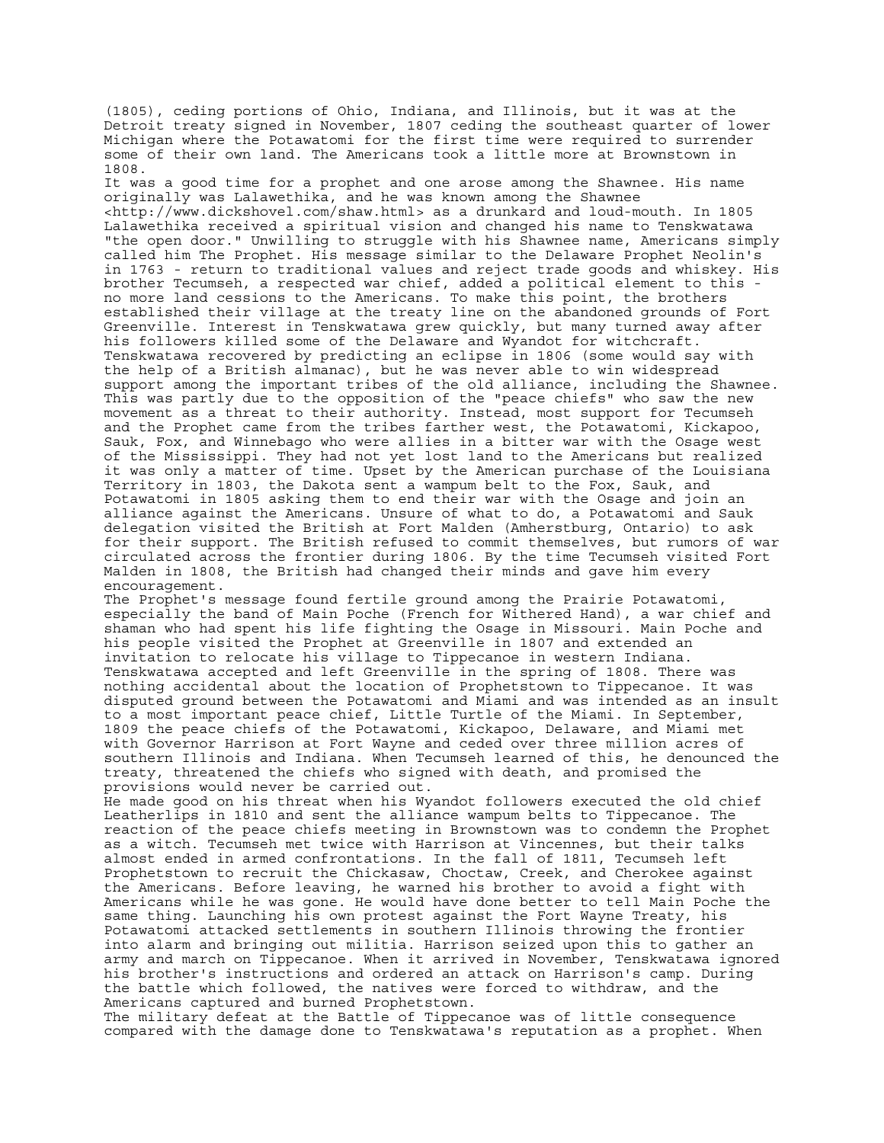(1805), ceding portions of Ohio, Indiana, and Illinois, but it was at the Detroit treaty signed in November, 1807 ceding the southeast quarter of lower Michigan where the Potawatomi for the first time were required to surrender some of their own land. The Americans took a little more at Brownstown in 1808.

It was a good time for a prophet and one arose among the Shawnee. His name originally was Lalawethika, and he was known among the Shawnee <http://www.dickshovel.com/shaw.html> as a drunkard and loud-mouth. In 1805 Lalawethika received a spiritual vision and changed his name to Tenskwatawa "the open door." Unwilling to struggle with his Shawnee name, Americans simply called him The Prophet. His message similar to the Delaware Prophet Neolin's in 1763 - return to traditional values and reject trade goods and whiskey. His brother Tecumseh, a respected war chief, added a political element to this no more land cessions to the Americans. To make this point, the brothers established their village at the treaty line on the abandoned grounds of Fort Greenville. Interest in Tenskwatawa grew quickly, but many turned away after his followers killed some of the Delaware and Wyandot for witchcraft. Tenskwatawa recovered by predicting an eclipse in 1806 (some would say with the help of a British almanac), but he was never able to win widespread support among the important tribes of the old alliance, including the Shawnee. This was partly due to the opposition of the "peace chiefs" who saw the new movement as a threat to their authority. Instead, most support for Tecumseh and the Prophet came from the tribes farther west, the Potawatomi, Kickapoo, Sauk, Fox, and Winnebago who were allies in a bitter war with the Osage west of the Mississippi. They had not yet lost land to the Americans but realized it was only a matter of time. Upset by the American purchase of the Louisiana Territory in 1803, the Dakota sent a wampum belt to the Fox, Sauk, and Potawatomi in 1805 asking them to end their war with the Osage and join an alliance against the Americans. Unsure of what to do, a Potawatomi and Sauk delegation visited the British at Fort Malden (Amherstburg, Ontario) to ask for their support. The British refused to commit themselves, but rumors of war circulated across the frontier during 1806. By the time Tecumseh visited Fort Malden in 1808, the British had changed their minds and gave him every encouragement.

The Prophet's message found fertile ground among the Prairie Potawatomi, especially the band of Main Poche (French for Withered Hand), a war chief and shaman who had spent his life fighting the Osage in Missouri. Main Poche and his people visited the Prophet at Greenville in 1807 and extended an invitation to relocate his village to Tippecanoe in western Indiana. Tenskwatawa accepted and left Greenville in the spring of 1808. There was nothing accidental about the location of Prophetstown to Tippecanoe. It was disputed ground between the Potawatomi and Miami and was intended as an insult to a most important peace chief, Little Turtle of the Miami. In September, 1809 the peace chiefs of the Potawatomi, Kickapoo, Delaware, and Miami met with Governor Harrison at Fort Wayne and ceded over three million acres of southern Illinois and Indiana. When Tecumseh learned of this, he denounced the treaty, threatened the chiefs who signed with death, and promised the provisions would never be carried out.

He made good on his threat when his Wyandot followers executed the old chief Leatherlips in 1810 and sent the alliance wampum belts to Tippecanoe. The reaction of the peace chiefs meeting in Brownstown was to condemn the Prophet as a witch. Tecumseh met twice with Harrison at Vincennes, but their talks almost ended in armed confrontations. In the fall of 1811, Tecumseh left Prophetstown to recruit the Chickasaw, Choctaw, Creek, and Cherokee against the Americans. Before leaving, he warned his brother to avoid a fight with Americans while he was gone. He would have done better to tell Main Poche the same thing. Launching his own protest against the Fort Wayne Treaty, his Potawatomi attacked settlements in southern Illinois throwing the frontier into alarm and bringing out militia. Harrison seized upon this to gather an army and march on Tippecanoe. When it arrived in November, Tenskwatawa ignored his brother's instructions and ordered an attack on Harrison's camp. During the battle which followed, the natives were forced to withdraw, and the Americans captured and burned Prophetstown.

The military defeat at the Battle of Tippecanoe was of little consequence compared with the damage done to Tenskwatawa's reputation as a prophet. When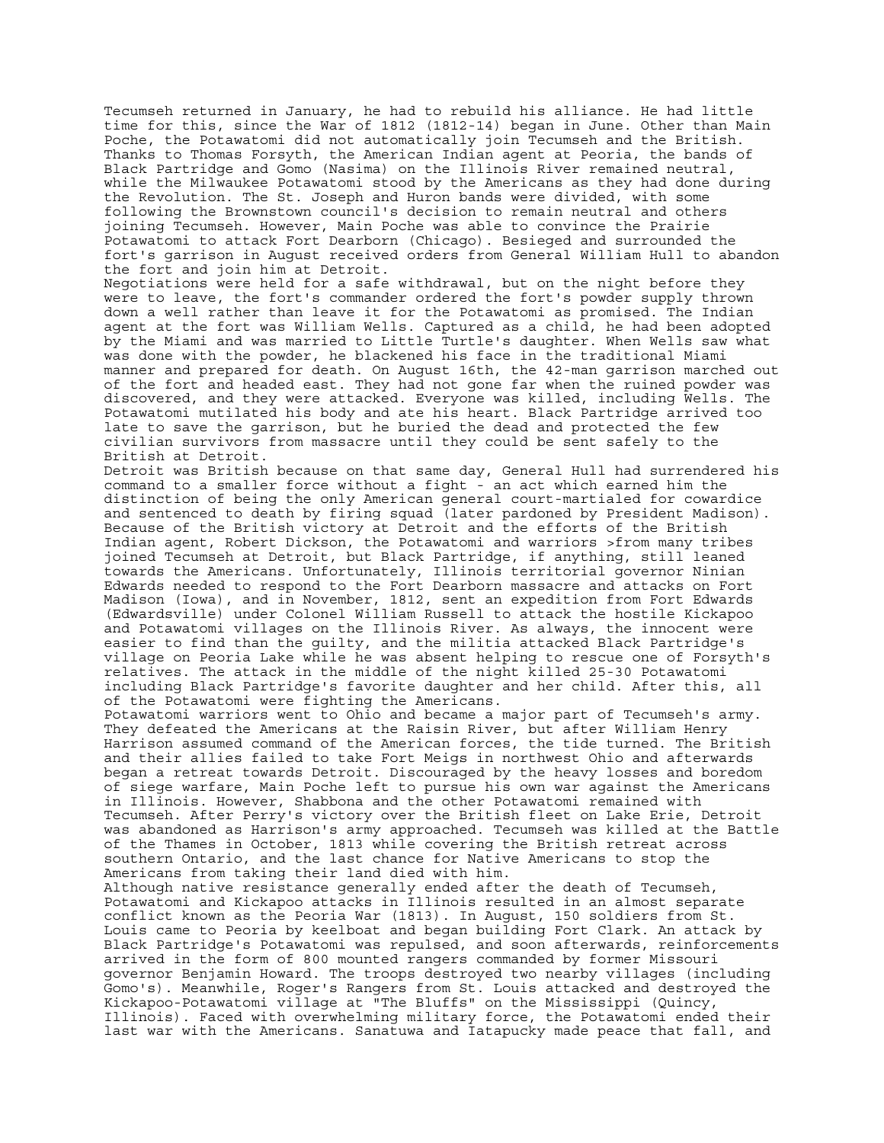Tecumseh returned in January, he had to rebuild his alliance. He had little time for this, since the War of 1812 (1812-14) began in June. Other than Main Poche, the Potawatomi did not automatically join Tecumseh and the British. Thanks to Thomas Forsyth, the American Indian agent at Peoria, the bands of Black Partridge and Gomo (Nasima) on the Illinois River remained neutral, while the Milwaukee Potawatomi stood by the Americans as they had done during the Revolution. The St. Joseph and Huron bands were divided, with some following the Brownstown council's decision to remain neutral and others joining Tecumseh. However, Main Poche was able to convince the Prairie Potawatomi to attack Fort Dearborn (Chicago). Besieged and surrounded the fort's garrison in August received orders from General William Hull to abandon the fort and join him at Detroit. Negotiations were held for a safe withdrawal, but on the night before they were to leave, the fort's commander ordered the fort's powder supply thrown down a well rather than leave it for the Potawatomi as promised. The Indian agent at the fort was William Wells. Captured as a child, he had been adopted by the Miami and was married to Little Turtle's daughter. When Wells saw what was done with the powder, he blackened his face in the traditional Miami manner and prepared for death. On August 16th, the 42-man garrison marched out of the fort and headed east. They had not gone far when the ruined powder was discovered, and they were attacked. Everyone was killed, including Wells. The Potawatomi mutilated his body and ate his heart. Black Partridge arrived too late to save the garrison, but he buried the dead and protected the few civilian survivors from massacre until they could be sent safely to the British at Detroit. Detroit was British because on that same day, General Hull had surrendered his command to a smaller force without a fight - an act which earned him the distinction of being the only American general court-martialed for cowardice and sentenced to death by firing squad (later pardoned by President Madison). Because of the British victory at Detroit and the efforts of the British Indian agent, Robert Dickson, the Potawatomi and warriors >from many tribes joined Tecumseh at Detroit, but Black Partridge, if anything, still leaned towards the Americans. Unfortunately, Illinois territorial governor Ninian Edwards needed to respond to the Fort Dearborn massacre and attacks on Fort Madison (Iowa), and in November, 1812, sent an expedition from Fort Edwards (Edwardsville) under Colonel William Russell to attack the hostile Kickapoo and Potawatomi villages on the Illinois River. As always, the innocent were easier to find than the guilty, and the militia attacked Black Partridge's village on Peoria Lake while he was absent helping to rescue one of Forsyth's relatives. The attack in the middle of the night killed 25-30 Potawatomi including Black Partridge's favorite daughter and her child. After this, all of the Potawatomi were fighting the Americans. Potawatomi warriors went to Ohio and became a major part of Tecumseh's army. They defeated the Americans at the Raisin River, but after William Henry Harrison assumed command of the American forces, the tide turned. The British and their allies failed to take Fort Meigs in northwest Ohio and afterwards began a retreat towards Detroit. Discouraged by the heavy losses and boredom of siege warfare, Main Poche left to pursue his own war against the Americans in Illinois. However, Shabbona and the other Potawatomi remained with Tecumseh. After Perry's victory over the British fleet on Lake Erie, Detroit was abandoned as Harrison's army approached. Tecumseh was killed at the Battle of the Thames in October, 1813 while covering the British retreat across southern Ontario, and the last chance for Native Americans to stop the Americans from taking their land died with him. Although native resistance generally ended after the death of Tecumseh, Potawatomi and Kickapoo attacks in Illinois resulted in an almost separate conflict known as the Peoria War (1813). In August, 150 soldiers from St. Louis came to Peoria by keelboat and began building Fort Clark. An attack by Black Partridge's Potawatomi was repulsed, and soon afterwards, reinforcements arrived in the form of 800 mounted rangers commanded by former Missouri governor Benjamin Howard. The troops destroyed two nearby villages (including Gomo's). Meanwhile, Roger's Rangers from St. Louis attacked and destroyed the Kickapoo-Potawatomi village at "The Bluffs" on the Mississippi (Quincy, Illinois). Faced with overwhelming military force, the Potawatomi ended their last war with the Americans. Sanatuwa and Iatapucky made peace that fall, and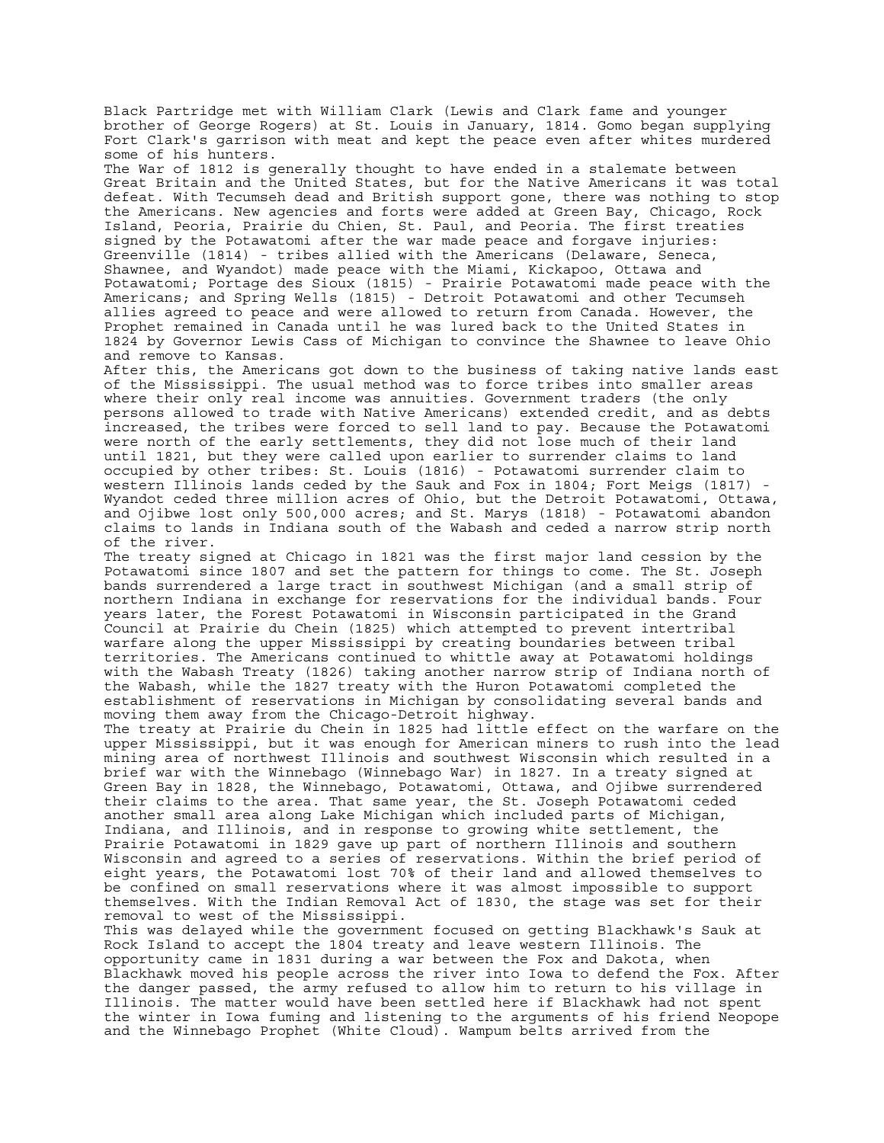Black Partridge met with William Clark (Lewis and Clark fame and younger brother of George Rogers) at St. Louis in January, 1814. Gomo began supplying Fort Clark's garrison with meat and kept the peace even after whites murdered some of his hunters.

The War of 1812 is generally thought to have ended in a stalemate between Great Britain and the United States, but for the Native Americans it was total defeat. With Tecumseh dead and British support gone, there was nothing to stop the Americans. New agencies and forts were added at Green Bay, Chicago, Rock Island, Peoria, Prairie du Chien, St. Paul, and Peoria. The first treaties signed by the Potawatomi after the war made peace and forgave injuries: Greenville (1814) - tribes allied with the Americans (Delaware, Seneca, Shawnee, and Wyandot) made peace with the Miami, Kickapoo, Ottawa and Potawatomi; Portage des Sioux (1815) - Prairie Potawatomi made peace with the Americans; and Spring Wells (1815) - Detroit Potawatomi and other Tecumseh allies agreed to peace and were allowed to return from Canada. However, the Prophet remained in Canada until he was lured back to the United States in 1824 by Governor Lewis Cass of Michigan to convince the Shawnee to leave Ohio and remove to Kansas.

After this, the Americans got down to the business of taking native lands east of the Mississippi. The usual method was to force tribes into smaller areas where their only real income was annuities. Government traders (the only persons allowed to trade with Native Americans) extended credit, and as debts increased, the tribes were forced to sell land to pay. Because the Potawatomi were north of the early settlements, they did not lose much of their land until 1821, but they were called upon earlier to surrender claims to land occupied by other tribes: St. Louis (1816) - Potawatomi surrender claim to western Illinois lands ceded by the Sauk and Fox in 1804; Fort Meigs (1817) - Wyandot ceded three million acres of Ohio, but the Detroit Potawatomi, Ottawa, and Ojibwe lost only 500,000 acres; and St. Marys (1818) - Potawatomi abandon claims to lands in Indiana south of the Wabash and ceded a narrow strip north of the river.

The treaty signed at Chicago in 1821 was the first major land cession by the Potawatomi since 1807 and set the pattern for things to come. The St. Joseph bands surrendered a large tract in southwest Michigan (and a small strip of northern Indiana in exchange for reservations for the individual bands. Four years later, the Forest Potawatomi in Wisconsin participated in the Grand Council at Prairie du Chein (1825) which attempted to prevent intertribal warfare along the upper Mississippi by creating boundaries between tribal territories. The Americans continued to whittle away at Potawatomi holdings with the Wabash Treaty (1826) taking another narrow strip of Indiana north of the Wabash, while the 1827 treaty with the Huron Potawatomi completed the establishment of reservations in Michigan by consolidating several bands and moving them away from the Chicago-Detroit highway.

The treaty at Prairie du Chein in 1825 had little effect on the warfare on the upper Mississippi, but it was enough for American miners to rush into the lead mining area of northwest Illinois and southwest Wisconsin which resulted in a brief war with the Winnebago (Winnebago War) in 1827. In a treaty signed at Green Bay in 1828, the Winnebago, Potawatomi, Ottawa, and Ojibwe surrendered their claims to the area. That same year, the St. Joseph Potawatomi ceded another small area along Lake Michigan which included parts of Michigan, Indiana, and Illinois, and in response to growing white settlement, the Prairie Potawatomi in 1829 gave up part of northern Illinois and southern Wisconsin and agreed to a series of reservations. Within the brief period of eight years, the Potawatomi lost 70% of their land and allowed themselves to be confined on small reservations where it was almost impossible to support themselves. With the Indian Removal Act of 1830, the stage was set for their removal to west of the Mississippi.

This was delayed while the government focused on getting Blackhawk's Sauk at Rock Island to accept the 1804 treaty and leave western Illinois. The opportunity came in 1831 during a war between the Fox and Dakota, when Blackhawk moved his people across the river into Iowa to defend the Fox. After the danger passed, the army refused to allow him to return to his village in Illinois. The matter would have been settled here if Blackhawk had not spent the winter in Iowa fuming and listening to the arguments of his friend Neopope and the Winnebago Prophet (White Cloud). Wampum belts arrived from the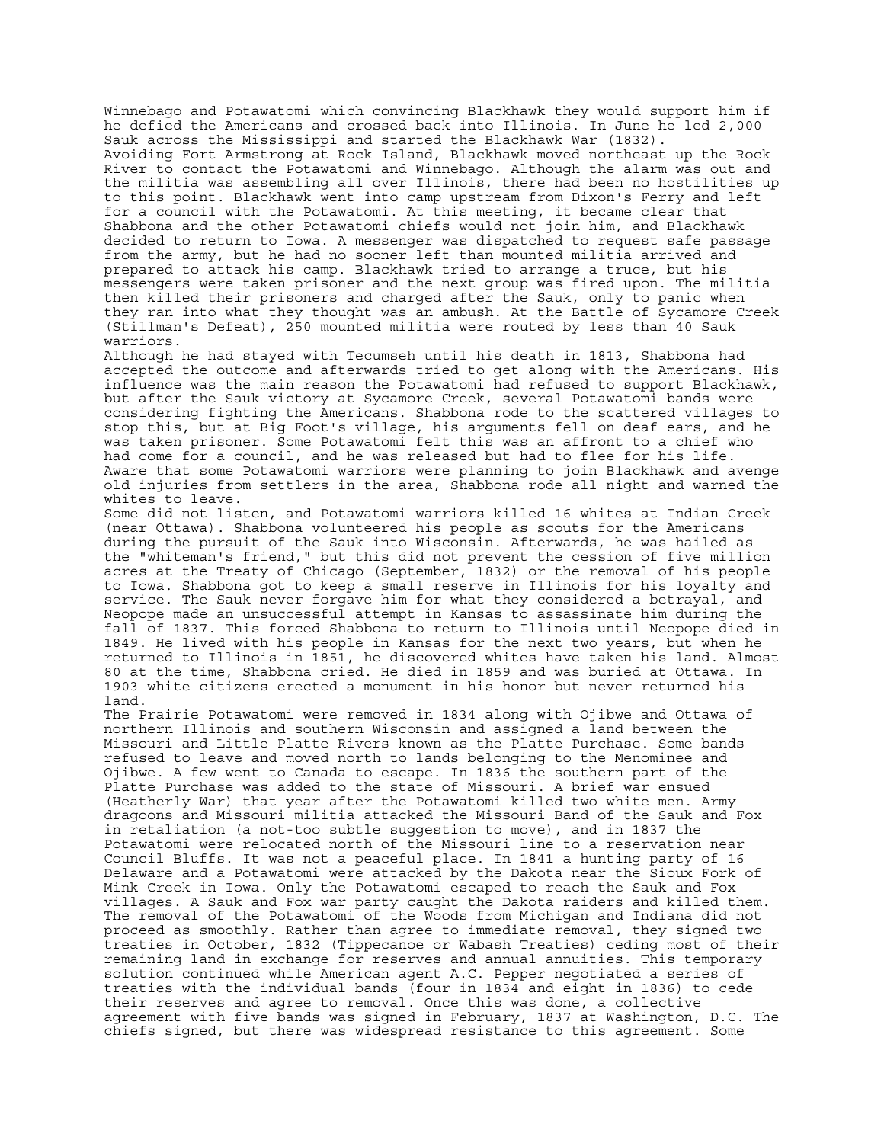Winnebago and Potawatomi which convincing Blackhawk they would support him if he defied the Americans and crossed back into Illinois. In June he led 2,000 Sauk across the Mississippi and started the Blackhawk War (1832). Avoiding Fort Armstrong at Rock Island, Blackhawk moved northeast up the Rock River to contact the Potawatomi and Winnebago. Although the alarm was out and the militia was assembling all over Illinois, there had been no hostilities up to this point. Blackhawk went into camp upstream from Dixon's Ferry and left for a council with the Potawatomi. At this meeting, it became clear that Shabbona and the other Potawatomi chiefs would not join him, and Blackhawk decided to return to Iowa. A messenger was dispatched to request safe passage from the army, but he had no sooner left than mounted militia arrived and prepared to attack his camp. Blackhawk tried to arrange a truce, but his messengers were taken prisoner and the next group was fired upon. The militia then killed their prisoners and charged after the Sauk, only to panic when they ran into what they thought was an ambush. At the Battle of Sycamore Creek (Stillman's Defeat), 250 mounted militia were routed by less than 40 Sauk warriors.

Although he had stayed with Tecumseh until his death in 1813, Shabbona had accepted the outcome and afterwards tried to get along with the Americans. His influence was the main reason the Potawatomi had refused to support Blackhawk, but after the Sauk victory at Sycamore Creek, several Potawatomi bands were considering fighting the Americans. Shabbona rode to the scattered villages to stop this, but at Big Foot's village, his arguments fell on deaf ears, and he was taken prisoner. Some Potawatomi felt this was an affront to a chief who had come for a council, and he was released but had to flee for his life. Aware that some Potawatomi warriors were planning to join Blackhawk and avenge old injuries from settlers in the area, Shabbona rode all night and warned the whites to leave.

Some did not listen, and Potawatomi warriors killed 16 whites at Indian Creek (near Ottawa). Shabbona volunteered his people as scouts for the Americans during the pursuit of the Sauk into Wisconsin. Afterwards, he was hailed as the "whiteman's friend," but this did not prevent the cession of five million acres at the Treaty of Chicago (September, 1832) or the removal of his people to Iowa. Shabbona got to keep a small reserve in Illinois for his loyalty and service. The Sauk never forgave him for what they considered a betrayal, and Neopope made an unsuccessful attempt in Kansas to assassinate him during the fall of 1837. This forced Shabbona to return to Illinois until Neopope died in 1849. He lived with his people in Kansas for the next two years, but when he returned to Illinois in 1851, he discovered whites have taken his land. Almost 80 at the time, Shabbona cried. He died in 1859 and was buried at Ottawa. In 1903 white citizens erected a monument in his honor but never returned his land.

The Prairie Potawatomi were removed in 1834 along with Ojibwe and Ottawa of northern Illinois and southern Wisconsin and assigned a land between the Missouri and Little Platte Rivers known as the Platte Purchase. Some bands refused to leave and moved north to lands belonging to the Menominee and Ojibwe. A few went to Canada to escape. In 1836 the southern part of the Platte Purchase was added to the state of Missouri. A brief war ensued (Heatherly War) that year after the Potawatomi killed two white men. Army dragoons and Missouri militia attacked the Missouri Band of the Sauk and Fox in retaliation (a not-too subtle suggestion to move), and in 1837 the Potawatomi were relocated north of the Missouri line to a reservation near Council Bluffs. It was not a peaceful place. In 1841 a hunting party of 16 Delaware and a Potawatomi were attacked by the Dakota near the Sioux Fork of Mink Creek in Iowa. Only the Potawatomi escaped to reach the Sauk and Fox villages. A Sauk and Fox war party caught the Dakota raiders and killed them. The removal of the Potawatomi of the Woods from Michigan and Indiana did not proceed as smoothly. Rather than agree to immediate removal, they signed two treaties in October, 1832 (Tippecanoe or Wabash Treaties) ceding most of their remaining land in exchange for reserves and annual annuities. This temporary solution continued while American agent A.C. Pepper negotiated a series of treaties with the individual bands (four in 1834 and eight in 1836) to cede their reserves and agree to removal. Once this was done, a collective agreement with five bands was signed in February, 1837 at Washington, D.C. The chiefs signed, but there was widespread resistance to this agreement. Some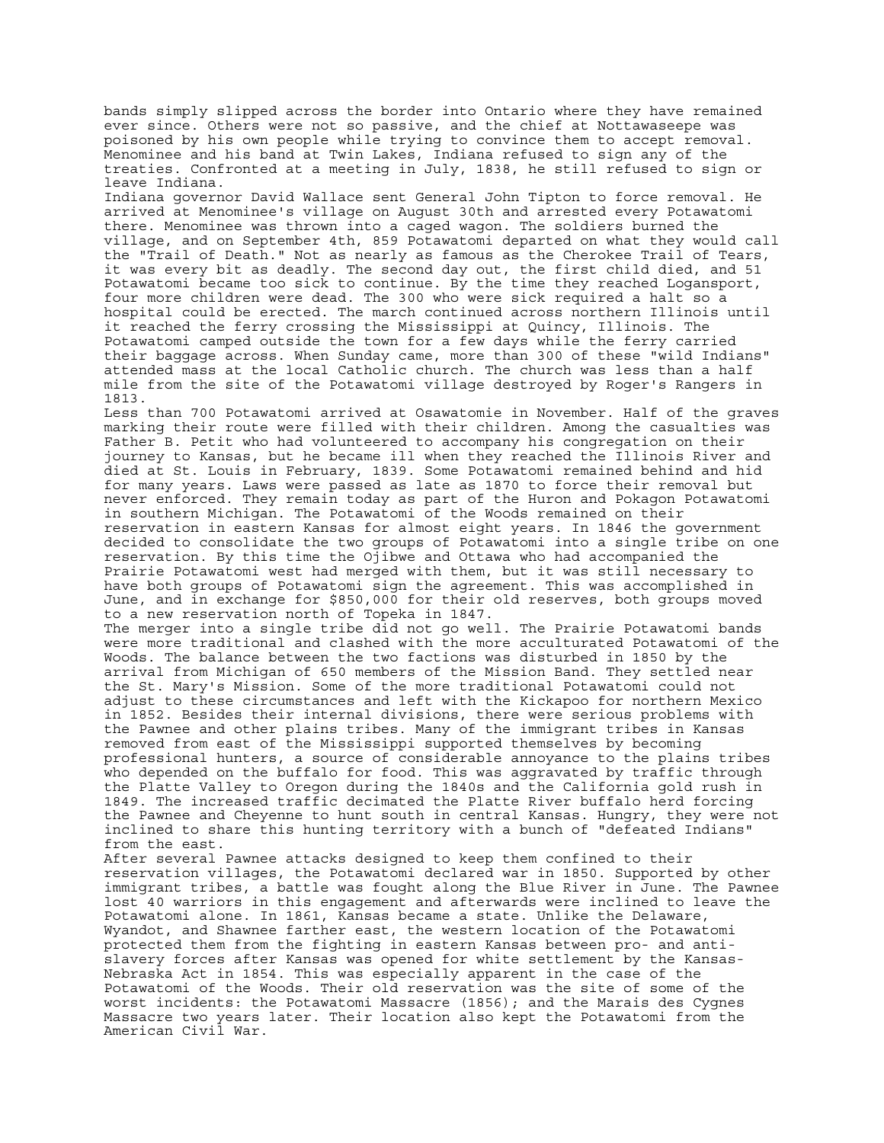bands simply slipped across the border into Ontario where they have remained ever since. Others were not so passive, and the chief at Nottawaseepe was poisoned by his own people while trying to convince them to accept removal. Menominee and his band at Twin Lakes, Indiana refused to sign any of the treaties. Confronted at a meeting in July, 1838, he still refused to sign or leave Indiana.

Indiana governor David Wallace sent General John Tipton to force removal. He arrived at Menominee's village on August 30th and arrested every Potawatomi there. Menominee was thrown into a caged wagon. The soldiers burned the village, and on September 4th, 859 Potawatomi departed on what they would call the "Trail of Death." Not as nearly as famous as the Cherokee Trail of Tears, it was every bit as deadly. The second day out, the first child died, and 51 Potawatomi became too sick to continue. By the time they reached Logansport, four more children were dead. The 300 who were sick required a halt so a hospital could be erected. The march continued across northern Illinois until it reached the ferry crossing the Mississippi at Quincy, Illinois. The Potawatomi camped outside the town for a few days while the ferry carried their baggage across. When Sunday came, more than 300 of these "wild Indians" attended mass at the local Catholic church. The church was less than a half mile from the site of the Potawatomi village destroyed by Roger's Rangers in 1813.

Less than 700 Potawatomi arrived at Osawatomie in November. Half of the graves marking their route were filled with their children. Among the casualties was Father B. Petit who had volunteered to accompany his congregation on their journey to Kansas, but he became ill when they reached the Illinois River and died at St. Louis in February, 1839. Some Potawatomi remained behind and hid for many years. Laws were passed as late as 1870 to force their removal but never enforced. They remain today as part of the Huron and Pokagon Potawatomi in southern Michigan. The Potawatomi of the Woods remained on their reservation in eastern Kansas for almost eight years. In 1846 the government decided to consolidate the two groups of Potawatomi into a single tribe on one reservation. By this time the Ojibwe and Ottawa who had accompanied the Prairie Potawatomi west had merged with them, but it was still necessary to have both groups of Potawatomi sign the agreement. This was accomplished in June, and in exchange for \$850,000 for their old reserves, both groups moved to a new reservation north of Topeka in 1847.

The merger into a single tribe did not go well. The Prairie Potawatomi bands were more traditional and clashed with the more acculturated Potawatomi of the Woods. The balance between the two factions was disturbed in 1850 by the arrival from Michigan of 650 members of the Mission Band. They settled near the St. Mary's Mission. Some of the more traditional Potawatomi could not adjust to these circumstances and left with the Kickapoo for northern Mexico in 1852. Besides their internal divisions, there were serious problems with the Pawnee and other plains tribes. Many of the immigrant tribes in Kansas removed from east of the Mississippi supported themselves by becoming professional hunters, a source of considerable annoyance to the plains tribes who depended on the buffalo for food. This was aggravated by traffic through the Platte Valley to Oregon during the 1840s and the California gold rush in 1849. The increased traffic decimated the Platte River buffalo herd forcing the Pawnee and Cheyenne to hunt south in central Kansas. Hungry, they were not inclined to share this hunting territory with a bunch of "defeated Indians" from the east.

After several Pawnee attacks designed to keep them confined to their reservation villages, the Potawatomi declared war in 1850. Supported by other immigrant tribes, a battle was fought along the Blue River in June. The Pawnee lost 40 warriors in this engagement and afterwards were inclined to leave the Potawatomi alone. In 1861, Kansas became a state. Unlike the Delaware, Wyandot, and Shawnee farther east, the western location of the Potawatomi protected them from the fighting in eastern Kansas between pro- and antislavery forces after Kansas was opened for white settlement by the Kansas-Nebraska Act in 1854. This was especially apparent in the case of the Potawatomi of the Woods. Their old reservation was the site of some of the worst incidents: the Potawatomi Massacre (1856); and the Marais des Cygnes Massacre two years later. Their location also kept the Potawatomi from the American Civil War.